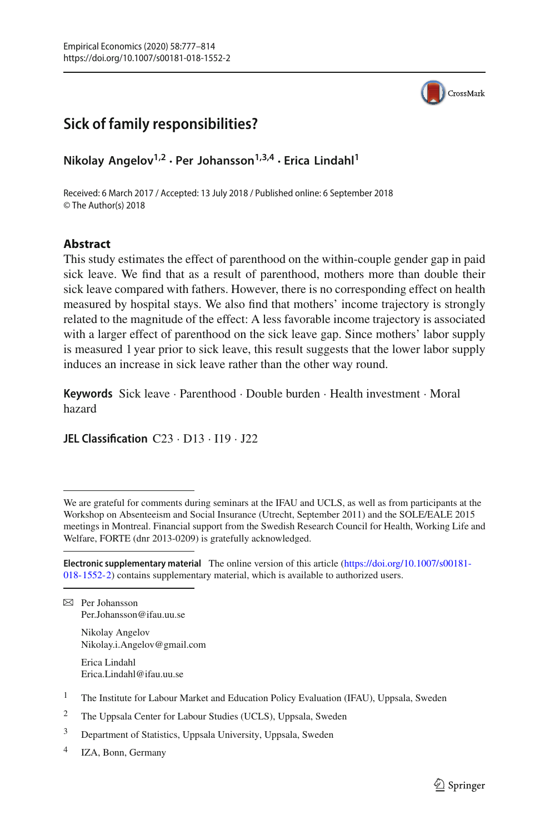

# **Sick of family responsibilities?**

**Nikolay Angelov1,2 · Per Johansson1,3,4 · Erica Lindahl1**

Received: 6 March 2017 / Accepted: 13 July 2018 / Published online: 6 September 2018 © The Author(s) 2018

# **Abstract**

This study estimates the effect of parenthood on the within-couple gender gap in paid sick leave. We find that as a result of parenthood, mothers more than double their sick leave compared with fathers. However, there is no corresponding effect on health measured by hospital stays. We also find that mothers' income trajectory is strongly related to the magnitude of the effect: A less favorable income trajectory is associated with a larger effect of parenthood on the sick leave gap. Since mothers' labor supply is measured 1 year prior to sick leave, this result suggests that the lower labor supply induces an increase in sick leave rather than the other way round.

**Keywords** Sick leave · Parenthood · Double burden · Health investment · Moral hazard

**JEL Classification** C23 · D13 · I19 · J22

 $\boxtimes$  Per Johansson Per.Johansson@ifau.uu.se

> Nikolay Angelov Nikolay.i.Angelov@gmail.com

Erica Lindahl Erica.Lindahl@ifau.uu.se

- <sup>2</sup> The Uppsala Center for Labour Studies (UCLS), Uppsala, Sweden
- <sup>3</sup> Department of Statistics, Uppsala University, Uppsala, Sweden
- <sup>4</sup> IZA, Bonn, Germany

We are grateful for comments during seminars at the IFAU and UCLS, as well as from participants at the Workshop on Absenteeism and Social Insurance (Utrecht, September 2011) and the SOLE/EALE 2015 meetings in Montreal. Financial support from the Swedish Research Council for Health, Working Life and Welfare, FORTE (dnr 2013-0209) is gratefully acknowledged.

**Electronic supplementary material** The online version of this article [\(https://doi.org/10.1007/s00181-](https://doi.org/10.1007/s00181-018-1552-2) [018-1552-2\)](https://doi.org/10.1007/s00181-018-1552-2) contains supplementary material, which is available to authorized users.

<sup>&</sup>lt;sup>1</sup> The Institute for Labour Market and Education Policy Evaluation (IFAU), Uppsala, Sweden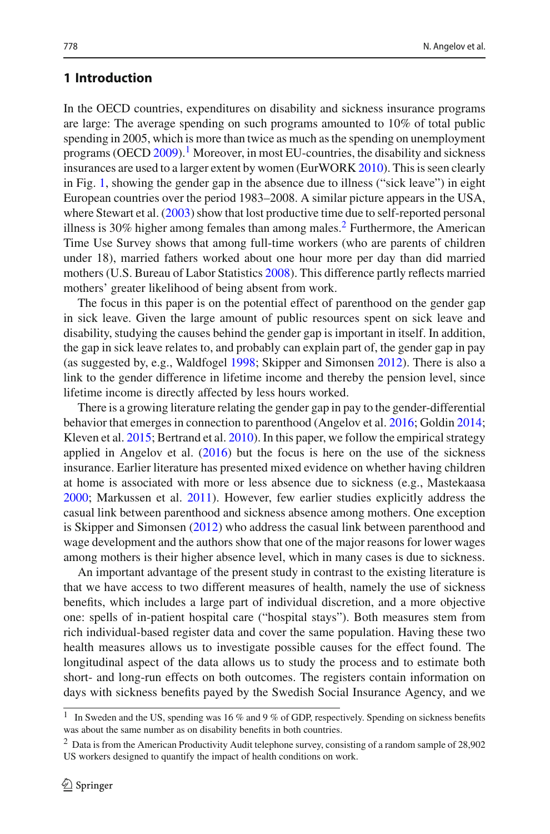# **1 Introduction**

In the OECD countries, expenditures on disability and sickness insurance programs are large: The average spending on such programs amounted to 10% of total public spending in 2005, which is more than twice as much as the spending on unemployment programs (OECD [2009](#page-37-0)).<sup>[1](#page-1-0)</sup> Moreover, in most EU-countries, the disability and sickness insurances are used to a larger extent by women (EurWORK [2010](#page-36-0)). This is seen clearly in Fig. [1,](#page-2-0) showing the gender gap in the absence due to illness ("sick leave") in eight European countries over the period 1983–2008. A similar picture appears in the USA, where Stewart et al[.](#page-37-1) [\(2003](#page-37-1)) show that lost productive time due to self-reported personal illness is 30% higher among females than among males.<sup>2</sup> Furthermore, the American Time Use Survey shows that among full-time workers (who are parents of children under 18), married fathers worked about one hour more per day than did married mothers (U.S. Bureau of Labor Statistics [2008\)](#page-37-2). This difference partly reflects married mothers' greater likelihood of being absent from work.

The focus in this paper is on the potential effect of parenthood on the gender gap in sick leave. Given the large amount of public resources spent on sick leave and disability, studying the causes behind the gender gap is important in itself. In addition, the gap in sick leave relates to, and probably can explain part of, the gender gap in pay (as suggested by, e.g., Waldfoge[l](#page-37-3) [1998](#page-37-3); Skipper and Simonse[n](#page-37-4) [2012\)](#page-37-4). There is also a link to the gender difference in lifetime income and thereby the pension level, since lifetime income is directly affected by less hours worked.

There is a growing literature relating the gender gap in pay to the gender-differential behavior that emerges in connection to parenthood (Angelov et al[.](#page-36-1) [2016](#page-36-1); Goldi[n](#page-36-2) [2014](#page-36-2); Kleven et al[.](#page-37-5) [2015](#page-37-5); Bertrand et al[.](#page-36-3) [2010\)](#page-36-3). In this paper, we follow the empirical strategy applied in Angelov et al[.](#page-36-1) [\(2016\)](#page-36-1) but the focus is here on the use of the sickness insurance. Earlier literature has presented mixed evidence on whether having children at home is associated with more or less absence due to sickness (e.g., Mastekaas[a](#page-37-6) [2000;](#page-37-6) Markussen et al[.](#page-37-7) [2011\)](#page-37-7). However, few earlier studies explicitly address the casual link between parenthood and sickness absence among mothers. One exception is Skipper and Simonse[n](#page-37-4) [\(2012](#page-37-4)) who address the casual link between parenthood and wage development and the authors show that one of the major reasons for lower wages among mothers is their higher absence level, which in many cases is due to sickness.

An important advantage of the present study in contrast to the existing literature is that we have access to two different measures of health, namely the use of sickness benefits, which includes a large part of individual discretion, and a more objective one: spells of in-patient hospital care ("hospital stays"). Both measures stem from rich individual-based register data and cover the same population. Having these two health measures allows us to investigate possible causes for the effect found. The longitudinal aspect of the data allows us to study the process and to estimate both short- and long-run effects on both outcomes. The registers contain information on days with sickness benefits payed by the Swedish Social Insurance Agency, and we

<span id="page-1-0"></span>In Sweden and the US, spending was 16 % and 9 % of GDP, respectively. Spending on sickness benefits was about the same number as on disability benefits in both countries.

<span id="page-1-1"></span><sup>&</sup>lt;sup>2</sup> Data is from the American Productivity Audit telephone survey, consisting of a random sample of 28,902 US workers designed to quantify the impact of health conditions on work.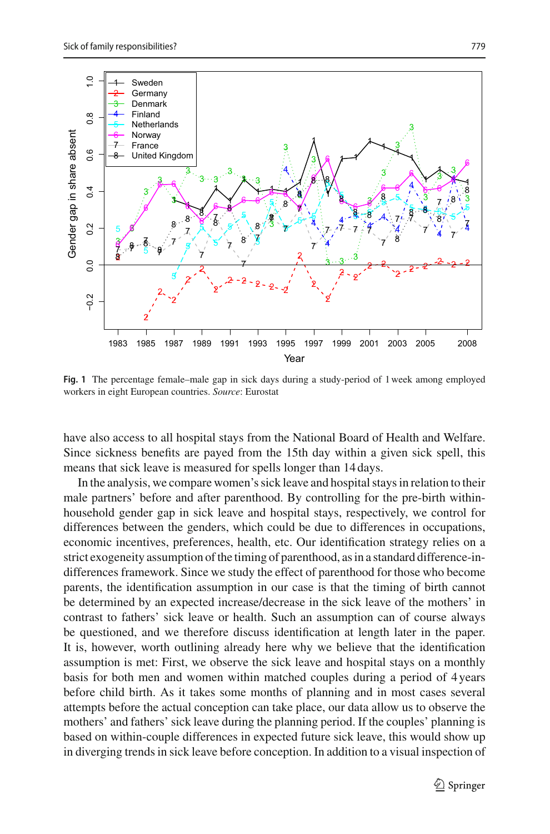

<span id="page-2-0"></span>**Fig. 1** The percentage female–male gap in sick days during a study-period of 1 week among employed workers in eight European countries. *Source*: Eurostat

have also access to all hospital stays from the National Board of Health and Welfare. Since sickness benefits are payed from the 15th day within a given sick spell, this means that sick leave is measured for spells longer than 14 days.

In the analysis, we compare women's sick leave and hospital stays in relation to their male partners' before and after parenthood. By controlling for the pre-birth withinhousehold gender gap in sick leave and hospital stays, respectively, we control for differences between the genders, which could be due to differences in occupations, economic incentives, preferences, health, etc. Our identification strategy relies on a strict exogeneity assumption of the timing of parenthood, as in a standard difference-indifferences framework. Since we study the effect of parenthood for those who become parents, the identification assumption in our case is that the timing of birth cannot be determined by an expected increase/decrease in the sick leave of the mothers' in contrast to fathers' sick leave or health. Such an assumption can of course always be questioned, and we therefore discuss identification at length later in the paper. It is, however, worth outlining already here why we believe that the identification assumption is met: First, we observe the sick leave and hospital stays on a monthly basis for both men and women within matched couples during a period of 4 years before child birth. As it takes some months of planning and in most cases several attempts before the actual conception can take place, our data allow us to observe the mothers' and fathers' sick leave during the planning period. If the couples' planning is based on within-couple differences in expected future sick leave, this would show up in diverging trends in sick leave before conception. In addition to a visual inspection of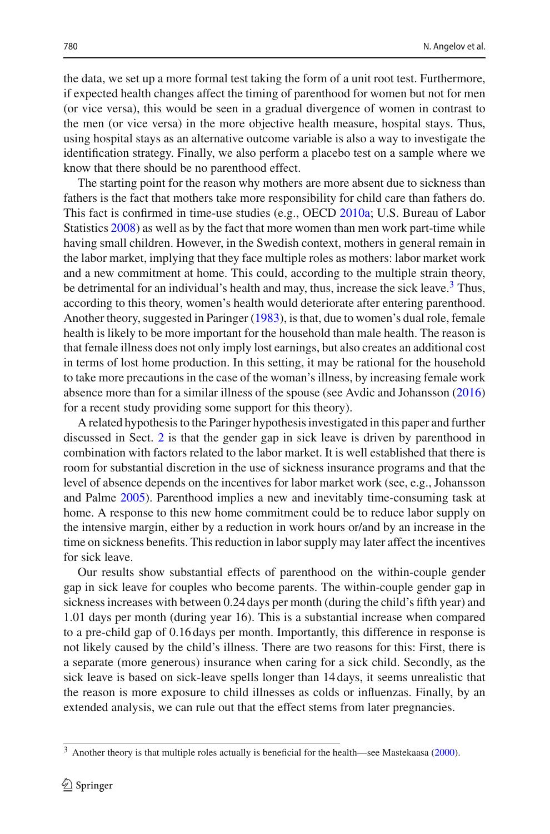the data, we set up a more formal test taking the form of a unit root test. Furthermore, if expected health changes affect the timing of parenthood for women but not for men (or vice versa), this would be seen in a gradual divergence of women in contrast to the men (or vice versa) in the more objective health measure, hospital stays. Thus, using hospital stays as an alternative outcome variable is also a way to investigate the identification strategy. Finally, we also perform a placebo test on a sample where we know that there should be no parenthood effect.

The starting point for the reason why mothers are more absent due to sickness than fathers is the fact that mothers take more responsibility for child care than fathers do. This fact is confirmed in time-use studies (e.g., OEC[D](#page-37-8) [2010a;](#page-37-8) U.S. Bureau of Labor Statistic[s](#page-37-2) [2008\)](#page-37-2) as well as by the fact that more women than men work part-time while having small children. However, in the Swedish context, mothers in general remain in the labor market, implying that they face multiple roles as mothers: labor market work and a new commitment at home. This could, according to the multiple strain theory, be detrimental for an individual's health and may, thus, increase the sick leave.<sup>[3](#page-3-0)</sup> Thus, according to this theory, women's health would deteriorate after entering parenthood. Another theory, suggested in Paringe[r](#page-37-9) [\(1983\)](#page-37-9), is that, due to women's dual role, female health is likely to be more important for the household than male health. The reason is that female illness does not only imply lost earnings, but also creates an additional cost in terms of lost home production. In this setting, it may be rational for the household to take more precautions in the case of the woman's illness, by increasing female work absence more than for a similar illness of the spouse (see Avdic and Johansso[n](#page-36-4) [\(2016\)](#page-36-4) for a recent study providing some support for this theory).

A related hypothesis to the Paringer hypothesis investigated in this paper and further discussed in Sect. [2](#page-4-0) is that the gender gap in sick leave is driven by parenthood in combination with factors related to the labor market. It is well established that there is room for substantial discretion in the use of sickness insurance programs and that the level of absence depends on the incentives for labor market work (see, e.g., Johansson and Palm[e](#page-37-10) [2005](#page-37-10)). Parenthood implies a new and inevitably time-consuming task at home. A response to this new home commitment could be to reduce labor supply on the intensive margin, either by a reduction in work hours or/and by an increase in the time on sickness benefits. This reduction in labor supply may later affect the incentives for sick leave.

Our results show substantial effects of parenthood on the within-couple gender gap in sick leave for couples who become parents. The within-couple gender gap in sickness increases with between 0.24 days per month (during the child's fifth year) and 1.01 days per month (during year 16). This is a substantial increase when compared to a pre-child gap of 0.16 days per month. Importantly, this difference in response is not likely caused by the child's illness. There are two reasons for this: First, there is a separate (more generous) insurance when caring for a sick child. Secondly, as the sick leave is based on sick-leave spells longer than 14 days, it seems unrealistic that the reason is more exposure to child illnesses as colds or influenzas. Finally, by an extended analysis, we can rule out that the effect stems from later pregnancies.

<span id="page-3-0"></span><sup>&</sup>lt;sup>3</sup> Another theory is th[a](#page-37-6)t multiple roles actually is beneficial for the health—see Mastekaasa [\(2000](#page-37-6)).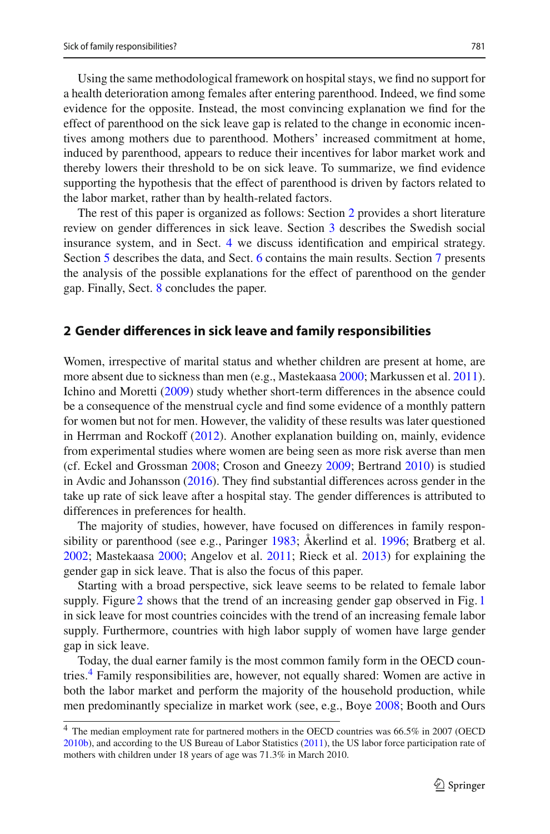Using the same methodological framework on hospital stays, we find no support for a health deterioration among females after entering parenthood. Indeed, we find some evidence for the opposite. Instead, the most convincing explanation we find for the effect of parenthood on the sick leave gap is related to the change in economic incentives among mothers due to parenthood. Mothers' increased commitment at home, induced by parenthood, appears to reduce their incentives for labor market work and thereby lowers their threshold to be on sick leave. To summarize, we find evidence supporting the hypothesis that the effect of parenthood is driven by factors related to the labor market, rather than by health-related factors.

The rest of this paper is organized as follows: Section [2](#page-4-0) provides a short literature review on gender differences in sick leave. Section [3](#page-6-0) describes the Swedish social insurance system, and in Sect. [4](#page-8-0) we discuss identification and empirical strategy. Section [5](#page-9-0) describes the data, and Sect. [6](#page-12-0) contains the main results. Section [7](#page-19-0) presents the analysis of the possible explanations for the effect of parenthood on the gender gap. Finally, Sect. [8](#page-23-0) concludes the paper.

### <span id="page-4-0"></span>**2 Gender differences in sick leave and family responsibilities**

Women, irrespective of marital status and whether children are present at home, are more absent due to sickness than men (e.g., Mastekaas[a](#page-37-6) [2000;](#page-37-6) Markussen et al[.](#page-37-7) [2011](#page-37-7)). Ichino and Morett[i](#page-36-5) [\(2009](#page-36-5)) study whether short-term differences in the absence could be a consequence of the menstrual cycle and find some evidence of a monthly pattern for women but not for men. However, the validity of these results was later questioned in Herrman and Rockof[f](#page-36-6) [\(2012\)](#page-36-6). Another explanation building on, mainly, evidence from experimental studies where women are being seen as more risk averse than men (cf. Eckel and Grossma[n](#page-36-7) [2008;](#page-36-7) Croson and Gneez[y](#page-36-8) [2009](#page-36-8); Bertran[d](#page-36-9) [2010\)](#page-36-9) is studied i[n](#page-36-4) Avdic and Johansson  $(2016)$ . They find substantial differences across gender in the take up rate of sick leave after a hospital stay. The gender differences is attributed to differences in preferences for health.

The majority of studies, however, have focused on differences in family responsibility or parenthood (see e.g., Paringe[r](#page-37-9) [1983;](#page-37-9) Åkerlind et al[.](#page-36-10) [1996](#page-36-10); Bratberg et al[.](#page-36-11) [2002;](#page-36-11) Mastekaas[a](#page-37-6) [2000](#page-37-6); Angelov et al[.](#page-36-12) [2011](#page-36-12); Rieck et al[.](#page-37-11) [2013](#page-37-11)) for explaining the gender gap in sick leave. That is also the focus of this paper.

Starting with a broad perspective, sick leave seems to be related to female labor supply. Figure [2](#page-5-0) shows that the trend of an increasing gender gap observed in Fig. [1](#page-2-0) in sick leave for most countries coincides with the trend of an increasing female labor supply. Furthermore, countries with high labor supply of women have large gender gap in sick leave.

Today, the dual earner family is the most common family form in the OECD countries[.4](#page-4-1) Family responsibilities are, however, not equally shared: Women are active in both the labor market and perform the majority of the household production, while men predominantly specialize in market work (see, e.g., Boy[e](#page-36-13) [2008;](#page-36-13) Booth and Our[s](#page-36-14)

<span id="page-4-1"></span><sup>&</sup>lt;sup>4</sup> The median employment rate for partnered mothers in the OEC[D](#page-37-12) countries was 66.5% in 2007 (OECD [2010b\)](#page-37-12), and according to the US Bureau of Labor Statistics [\(2011\)](#page-37-13), the US labor force participation rate of mothers with children under 18 years of age was 71.3% in March 2010.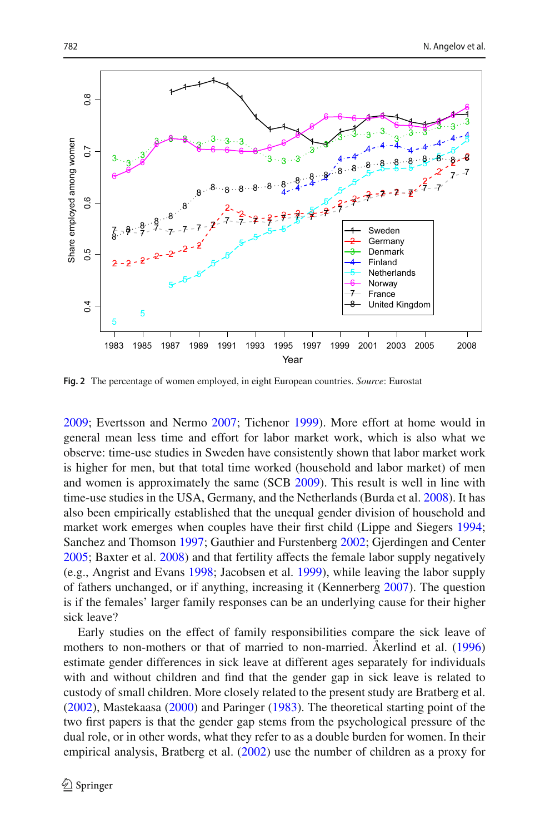

<span id="page-5-0"></span>**Fig. 2** The percentage of women employed, in eight European countries. *Source*: Eurostat

[2009;](#page-36-14) Evertsson and Nerm[o](#page-36-15) [2007](#page-36-15); Ticheno[r](#page-37-14) [1999\)](#page-37-14). More effort at home would in general mean less time and effort for labor market work, which is also what we observe: time-use studies in Sweden have consistently shown that labor market work is higher for men, but that total time worked (household and labor market) of men and women is approximately the same (SC[B](#page-37-15) [2009\)](#page-37-15). This result is well in line with time-use studies in the USA, Germany, and the Netherlands (Burda et al[.](#page-36-16) [2008\)](#page-36-16). It has also been empirically established that the unequal gender division of household and market work emerges when couples have their first child (Lippe and Sieger[s](#page-37-16) [1994](#page-37-16); Sanchez and Thomso[n](#page-37-17) [1997](#page-37-17); Gauthier and Furstenber[g](#page-36-17) [2002](#page-36-17); Gjerdingen and Cente[r](#page-36-18) [2005;](#page-36-18) Baxter et al[.](#page-36-19) [2008\)](#page-36-19) and that fertility affects the female labor supply negatively (e.g., Angrist and Evan[s](#page-36-20) [1998;](#page-36-20) Jacobsen et al[.](#page-37-18) [1999\)](#page-37-18), while leaving the labor supply of fathers unchanged, or if anything, increasing it (Kennerber[g](#page-37-19) [2007\)](#page-37-19). The question is if the females' larger family responses can be an underlying cause for their higher sick leave?

Early studies on the effect of family responsibilities compare the sick leave of mothers to non-mothers or that of married to non-married[.](#page-36-10) Åkerlind et al. [\(1996\)](#page-36-10) estimate gender differences in sick leave at different ages separately for individuals with and without children and find that the gender gap in sick leave is related to custody of small children. More closely related to the present study are Bratberg et al[.](#page-36-11) [\(2002\)](#page-36-11), Mastekaas[a](#page-37-6) [\(2000\)](#page-37-6) and Paringe[r](#page-37-9) [\(1983\)](#page-37-9). The theoretical starting point of the two first papers is that the gender gap stems from the psychological pressure of the dual role, or in other words, what they refer to as a double burden for women. In their empirical analysis, Bratberg et al[.](#page-36-11) [\(2002\)](#page-36-11) use the number of children as a proxy for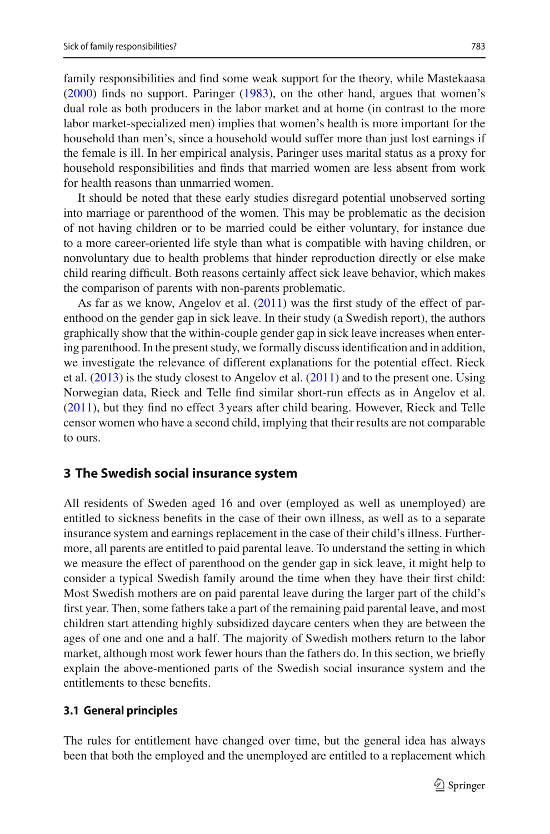family responsibilities and find some weak support for the theory, while Mastekaas[a](#page-37-6) [\(2000\)](#page-37-6) finds no support. Paringe[r](#page-37-9) [\(1983\)](#page-37-9), on the other hand, argues that women's dual role as both producers in the labor market and at home (in contrast to the more labor market-specialized men) implies that women's health is more important for the household than men's, since a household would suffer more than just lost earnings if the female is ill. In her empirical analysis, Paringer uses marital status as a proxy for household responsibilities and finds that married women are less absent from work

It should be noted that these early studies disregard potential unobserved sorting into marriage or parenthood of the women. This may be problematic as the decision of not having children or to be married could be either voluntary, for instance due to a more career-oriented life style than what is compatible with having children, or nonvoluntary due to health problems that hinder reproduction directly or else make child rearing difficult. Both reasons certainly affect sick leave behavior, which makes the comparison of parents with non-parents problematic.

As far as we know, Angelov et al[.](#page-36-12) [\(2011](#page-36-12)) was the first study of the effect of parenthood on the gender gap in sick leave. In their study (a Swedish report), the authors graphically show that the within-couple gender gap in sick leave increases when entering parenthood. In the present study, we formally discuss identification and in addition, we investigate the relevance of different explanations for the potential effect. Rieck et al[.](#page-37-11) [\(2013](#page-37-11)) is the study closest to Angelov et al[.](#page-36-12) [\(2011\)](#page-36-12) and to the present one. Using Norwegian data, Rieck and Telle find similar short-run effects as in Angelov et al[.](#page-36-12) [\(2011\)](#page-36-12), but they find no effect 3 years after child bearing. However, Rieck and Telle censor women who have a second child, implying that their results are not comparable to ours.

# <span id="page-6-0"></span>**3 The Swedish social insurance system**

for health reasons than unmarried women.

All residents of Sweden aged 16 and over (employed as well as unemployed) are entitled to sickness benefits in the case of their own illness, as well as to a separate insurance system and earnings replacement in the case of their child's illness. Furthermore, all parents are entitled to paid parental leave. To understand the setting in which we measure the effect of parenthood on the gender gap in sick leave, it might help to consider a typical Swedish family around the time when they have their first child: Most Swedish mothers are on paid parental leave during the larger part of the child's first year. Then, some fathers take a part of the remaining paid parental leave, and most children start attending highly subsidized daycare centers when they are between the ages of one and one and a half. The majority of Swedish mothers return to the labor market, although most work fewer hours than the fathers do. In this section, we briefly explain the above-mentioned parts of the Swedish social insurance system and the entitlements to these benefits.

### **3.1 General principles**

The rules for entitlement have changed over time, but the general idea has always been that both the employed and the unemployed are entitled to a replacement which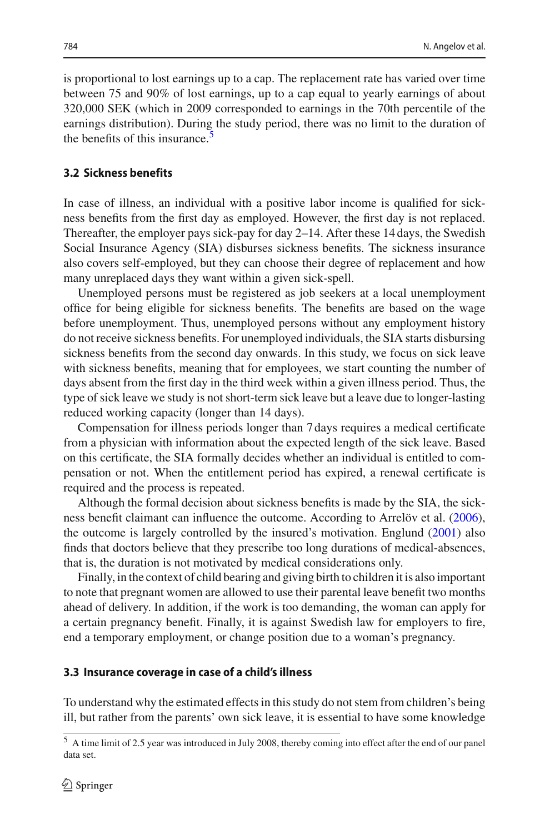is proportional to lost earnings up to a cap. The replacement rate has varied over time between 75 and 90% of lost earnings, up to a cap equal to yearly earnings of about 320,000 SEK (which in 2009 corresponded to earnings in the 70th percentile of the earnings distribution). During the study period, there was no limit to the duration of the benefits of this insurance.<sup>5</sup>

### **3.2 Sickness benefits**

In case of illness, an individual with a positive labor income is qualified for sickness benefits from the first day as employed. However, the first day is not replaced. Thereafter, the employer pays sick-pay for day 2–14. After these 14 days, the Swedish Social Insurance Agency (SIA) disburses sickness benefits. The sickness insurance also covers self-employed, but they can choose their degree of replacement and how many unreplaced days they want within a given sick-spell.

Unemployed persons must be registered as job seekers at a local unemployment office for being eligible for sickness benefits. The benefits are based on the wage before unemployment. Thus, unemployed persons without any employment history do not receive sickness benefits. For unemployed individuals, the SIA starts disbursing sickness benefits from the second day onwards. In this study, we focus on sick leave with sickness benefits, meaning that for employees, we start counting the number of days absent from the first day in the third week within a given illness period. Thus, the type of sick leave we study is not short-term sick leave but a leave due to longer-lasting reduced working capacity (longer than 14 days).

Compensation for illness periods longer than 7 days requires a medical certificate from a physician with information about the expected length of the sick leave. Based on this certificate, the SIA formally decides whether an individual is entitled to compensation or not. When the entitlement period has expired, a renewal certificate is required and the process is repeated.

Although the formal decision about sickness benefits is made by the SIA, the sickness benefit claimant can influence the outcome. According to Arrelöv et al[.](#page-36-21) [\(2006](#page-36-21)), the outcome is largely controlled by the insured's motivation. Englun[d](#page-36-22) [\(2001](#page-36-22)) also finds that doctors believe that they prescribe too long durations of medical-absences, that is, the duration is not motivated by medical considerations only.

Finally, in the context of child bearing and giving birth to children it is also important to note that pregnant women are allowed to use their parental leave benefit two months ahead of delivery. In addition, if the work is too demanding, the woman can apply for a certain pregnancy benefit. Finally, it is against Swedish law for employers to fire, end a temporary employment, or change position due to a woman's pregnancy.

### **3.3 Insurance coverage in case of a child's illness**

To understand why the estimated effects in this study do not stem from children's being ill, but rather from the parents' own sick leave, it is essential to have some knowledge

<span id="page-7-0"></span><sup>5</sup> A time limit of 2.5 year was introduced in July 2008, thereby coming into effect after the end of our panel data set.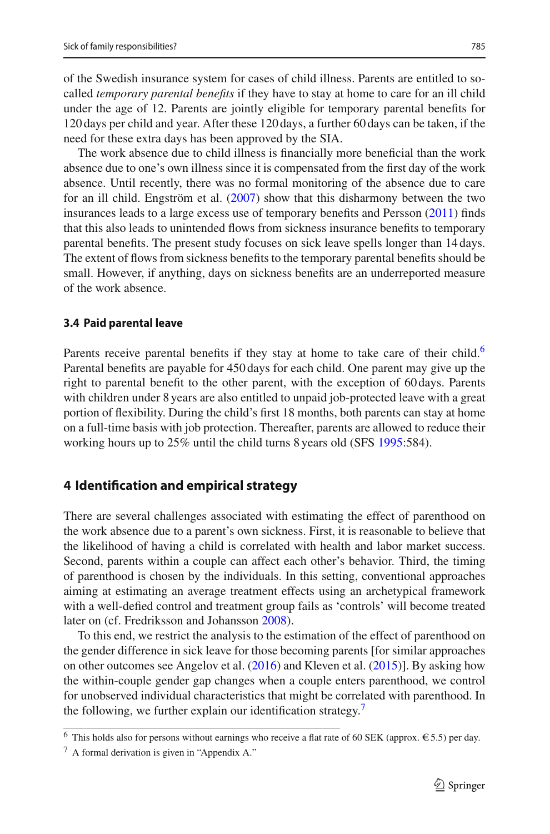of the Swedish insurance system for cases of child illness. Parents are entitled to socalled *temporary parental benefits* if they have to stay at home to care for an ill child under the age of 12. Parents are jointly eligible for temporary parental benefits for 120 days per child and year. After these 120 days, a further 60 days can be taken, if the need for these extra days has been approved by the SIA.

The work absence due to child illness is financially more beneficial than the work absence due to one's own illness since it is compensated from the first day of the work absence. Until recently, there was no formal monitoring of the absence due to care for an ill child. Engström et al[.](#page-36-23) [\(2007](#page-36-23)) show that this disharmony between the two insurances leads to a large excess use of temporary benefits and Persso[n](#page-37-20) [\(2011\)](#page-37-20) finds that this also leads to unintended flows from sickness insurance benefits to temporary parental benefits. The present study focuses on sick leave spells longer than 14 days. The extent of flows from sickness benefits to the temporary parental benefits should be small. However, if anything, days on sickness benefits are an underreported measure of the work absence.

### **3.4 Paid parental leave**

Parents receive parental benefits if they stay at home to take care of their child.<sup>6</sup> Parental benefits are payable for 450 days for each child. One parent may give up the right to parental benefit to the other parent, with the exception of 60 days. Parents with children under 8 years are also entitled to unpaid job-protected leave with a great portion of flexibility. During the child's first 18 months, both parents can stay at home on a full-time basis with job protection. Thereafter, parents are allowed to reduce their working hours up to 25% until the child turns 8 years old (SFS [1995](#page-37-21):584).

### <span id="page-8-0"></span>**4 Identification and empirical strategy**

There are several challenges associated with estimating the effect of parenthood on the work absence due to a parent's own sickness. First, it is reasonable to believe that the likelihood of having a child is correlated with health and labor market success. Second, parents within a couple can affect each other's behavior. Third, the timing of parenthood is chosen by the individuals. In this setting, conventional approaches aiming at estimating an average treatment effects using an archetypical framework with a well-defied control and treatment group fails as 'controls' will become treated later on (cf. Fredriksson and Johansso[n](#page-36-24) [2008](#page-36-24)).

To this end, we restrict the analysis to the estimation of the effect of parenthood on the gender difference in sick leave for those becoming parents [for similar approaches on other outcomes see Angelov et al[.](#page-36-1) [\(2016](#page-36-1)) and Kleven et al[.](#page-37-5) [\(2015](#page-37-5))]. By asking how the within-couple gender gap changes when a couple enters parenthood, we control for unobserved individual characteristics that might be correlated with parenthood. In the following, we further explain our identification strategy.<sup>7</sup>

<span id="page-8-1"></span> $6$  This holds also for persons without earnings who receive a flat rate of 60 SEK (approx.  $\in$  5.5) per day.

<span id="page-8-2"></span><sup>7</sup> A formal derivation is given in "Appendix A."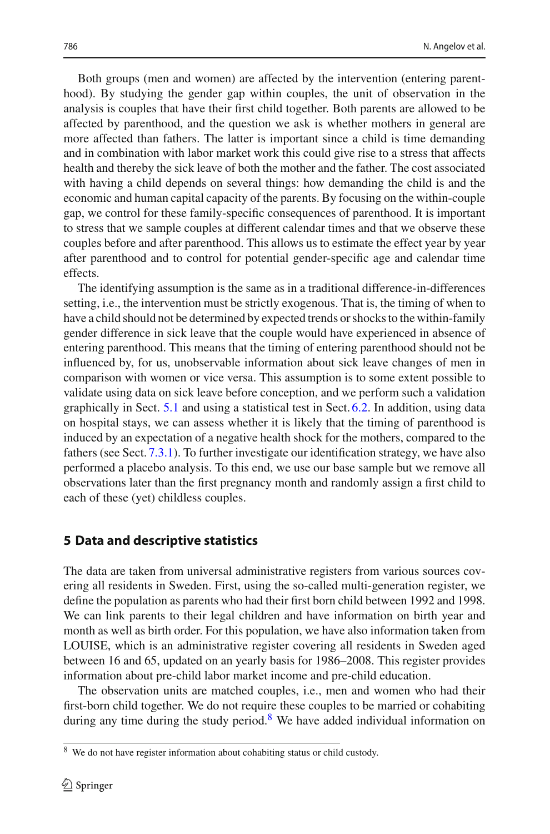Both groups (men and women) are affected by the intervention (entering parenthood). By studying the gender gap within couples, the unit of observation in the analysis is couples that have their first child together. Both parents are allowed to be affected by parenthood, and the question we ask is whether mothers in general are more affected than fathers. The latter is important since a child is time demanding and in combination with labor market work this could give rise to a stress that affects health and thereby the sick leave of both the mother and the father. The cost associated with having a child depends on several things: how demanding the child is and the economic and human capital capacity of the parents. By focusing on the within-couple gap, we control for these family-specific consequences of parenthood. It is important to stress that we sample couples at different calendar times and that we observe these couples before and after parenthood. This allows us to estimate the effect year by year after parenthood and to control for potential gender-specific age and calendar time effects.

The identifying assumption is the same as in a traditional difference-in-differences setting, i.e., the intervention must be strictly exogenous. That is, the timing of when to have a child should not be determined by expected trends or shocks to the within-family gender difference in sick leave that the couple would have experienced in absence of entering parenthood. This means that the timing of entering parenthood should not be influenced by, for us, unobservable information about sick leave changes of men in comparison with women or vice versa. This assumption is to some extent possible to validate using data on sick leave before conception, and we perform such a validation graphically in Sect. [5.1](#page-11-0) and using a statistical test in Sect. [6.2.](#page-13-0) In addition, using data on hospital stays, we can assess whether it is likely that the timing of parenthood is induced by an expectation of a negative health shock for the mothers, compared to the fathers (see Sect. [7.3.1\)](#page-21-0). To further investigate our identification strategy, we have also performed a placebo analysis. To this end, we use our base sample but we remove all observations later than the first pregnancy month and randomly assign a first child to each of these (yet) childless couples.

### <span id="page-9-0"></span>**5 Data and descriptive statistics**

The data are taken from universal administrative registers from various sources covering all residents in Sweden. First, using the so-called multi-generation register, we define the population as parents who had their first born child between 1992 and 1998. We can link parents to their legal children and have information on birth year and month as well as birth order. For this population, we have also information taken from LOUISE, which is an administrative register covering all residents in Sweden aged between 16 and 65, updated on an yearly basis for 1986–2008. This register provides information about pre-child labor market income and pre-child education.

The observation units are matched couples, i.e., men and women who had their first-born child together. We do not require these couples to be married or cohabiting during any time during the study period.<sup>8</sup> We have added individual information on

<span id="page-9-1"></span><sup>8</sup> We do not have register information about cohabiting status or child custody.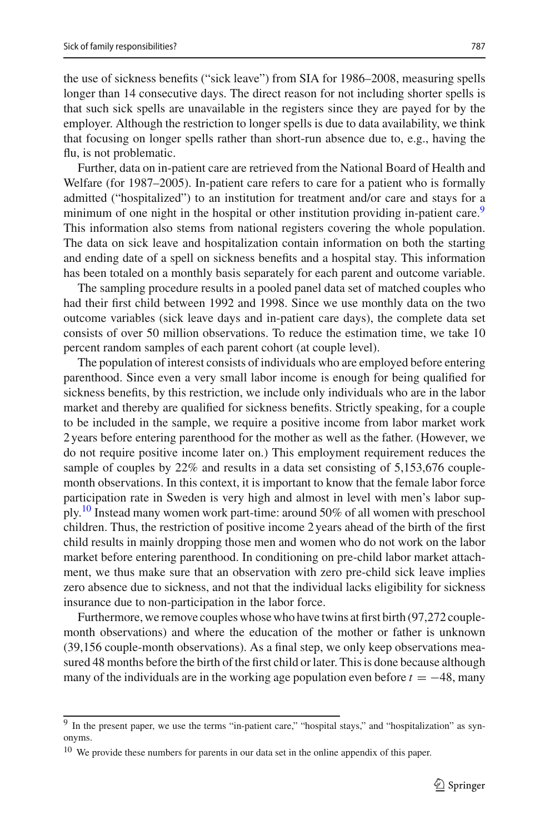the use of sickness benefits ("sick leave") from SIA for 1986–2008, measuring spells longer than 14 consecutive days. The direct reason for not including shorter spells is that such sick spells are unavailable in the registers since they are payed for by the employer. Although the restriction to longer spells is due to data availability, we think that focusing on longer spells rather than short-run absence due to, e.g., having the flu, is not problematic.

Further, data on in-patient care are retrieved from the National Board of Health and Welfare (for 1987–2005). In-patient care refers to care for a patient who is formally admitted ("hospitalized") to an institution for treatment and/or care and stays for a minimum of one night in the hospital or other institution providing in-patient care.<sup>9</sup> This information also stems from national registers covering the whole population. The data on sick leave and hospitalization contain information on both the starting and ending date of a spell on sickness benefits and a hospital stay. This information has been totaled on a monthly basis separately for each parent and outcome variable.

The sampling procedure results in a pooled panel data set of matched couples who had their first child between 1992 and 1998. Since we use monthly data on the two outcome variables (sick leave days and in-patient care days), the complete data set consists of over 50 million observations. To reduce the estimation time, we take 10 percent random samples of each parent cohort (at couple level).

The population of interest consists of individuals who are employed before entering parenthood. Since even a very small labor income is enough for being qualified for sickness benefits, by this restriction, we include only individuals who are in the labor market and thereby are qualified for sickness benefits. Strictly speaking, for a couple to be included in the sample, we require a positive income from labor market work 2 years before entering parenthood for the mother as well as the father. (However, we do not require positive income later on.) This employment requirement reduces the sample of couples by 22% and results in a data set consisting of 5,153,676 couplemonth observations. In this context, it is important to know that the female labor force participation rate in Sweden is very high and almost in level with men's labor supply.[10](#page-10-1) Instead many women work part-time: around 50% of all women with preschool children. Thus, the restriction of positive income 2 years ahead of the birth of the first child results in mainly dropping those men and women who do not work on the labor market before entering parenthood. In conditioning on pre-child labor market attachment, we thus make sure that an observation with zero pre-child sick leave implies zero absence due to sickness, and not that the individual lacks eligibility for sickness insurance due to non-participation in the labor force.

Furthermore, we remove couples whose who have twins at first birth (97,272 couplemonth observations) and where the education of the mother or father is unknown (39,156 couple-month observations). As a final step, we only keep observations measured 48 months before the birth of the first child or later. This is done because although many of the individuals are in the working age population even before  $t = -48$ , many

<span id="page-10-0"></span><sup>&</sup>lt;sup>9</sup> In the present paper, we use the terms "in-patient care," "hospital stays," and "hospitalization" as synonyms.

<span id="page-10-1"></span><sup>&</sup>lt;sup>10</sup> We provide these numbers for parents in our data set in the online appendix of this paper.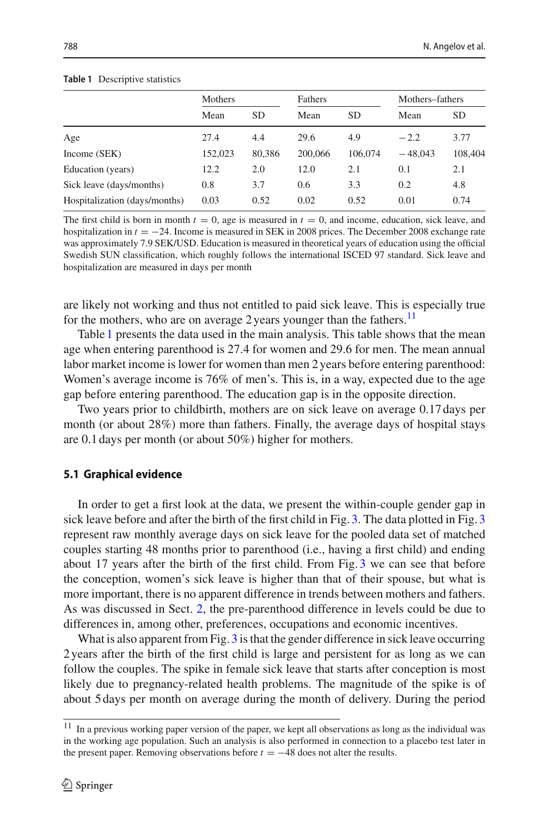|                               | Mothers |           | Fathers |           | Mothers-fathers |           |
|-------------------------------|---------|-----------|---------|-----------|-----------------|-----------|
|                               | Mean    | <b>SD</b> | Mean    | <b>SD</b> | Mean            | <b>SD</b> |
| Age                           | 27.4    | 4.4       | 29.6    | 4.9       | $-2.2$          | 3.77      |
| Income (SEK)                  | 152,023 | 80.386    | 200,066 | 106,074   | $-48,043$       | 108,404   |
| Education (years)             | 12.2    | 2.0       | 12.0    | 2.1       | 0.1             | 2.1       |
| Sick leave (days/months)      | 0.8     | 3.7       | 0.6     | 3.3       | 0.2             | 4.8       |
| Hospitalization (days/months) | 0.03    | 0.52      | 0.02    | 0.52      | 0.01            | 0.74      |

#### <span id="page-11-2"></span>**Table 1** Descriptive statistics

The first child is born in month  $t = 0$ , age is measured in  $t = 0$ , and income, education, sick leave, and hospitalization in *t* = −24. Income is measured in SEK in 2008 prices. The December 2008 exchange rate was approximately 7.9 SEK/USD. Education is measured in theoretical years of education using the official Swedish SUN classification, which roughly follows the international ISCED 97 standard. Sick leave and hospitalization are measured in days per month

are likely not working and thus not entitled to paid sick leave. This is especially true for the mothers, who are on average 2 years younger than the fathers.<sup>[11](#page-11-1)</sup>

Table [1](#page-11-2) presents the data used in the main analysis. This table shows that the mean age when entering parenthood is 27.4 for women and 29.6 for men. The mean annual labor market income is lower for women than men 2 years before entering parenthood: Women's average income is 76% of men's. This is, in a way, expected due to the age gap before entering parenthood. The education gap is in the opposite direction.

Two years prior to childbirth, mothers are on sick leave on average 0.17 days per month (or about 28%) more than fathers. Finally, the average days of hospital stays are 0.1 days per month (or about 50%) higher for mothers.

### <span id="page-11-0"></span>**5.1 Graphical evidence**

In order to get a first look at the data, we present the within-couple gender gap in sick leave before and after the birth of the first child in Fig. [3.](#page-12-1) The data plotted in Fig. [3](#page-12-1) represent raw monthly average days on sick leave for the pooled data set of matched couples starting 48 months prior to parenthood (i.e., having a first child) and ending about 17 years after the birth of the first child. From Fig. [3](#page-12-1) we can see that before the conception, women's sick leave is higher than that of their spouse, but what is more important, there is no apparent difference in trends between mothers and fathers. As was discussed in Sect. [2,](#page-4-0) the pre-parenthood difference in levels could be due to differences in, among other, preferences, occupations and economic incentives.

What is also apparent from Fig. [3](#page-12-1) is that the gender difference in sick leave occurring 2 years after the birth of the first child is large and persistent for as long as we can follow the couples. The spike in female sick leave that starts after conception is most likely due to pregnancy-related health problems. The magnitude of the spike is of about 5 days per month on average during the month of delivery. During the period

<span id="page-11-1"></span><sup>&</sup>lt;sup>11</sup> In a previous working paper version of the paper, we kept all observations as long as the individual was in the working age population. Such an analysis is also performed in connection to a placebo test later in the present paper. Removing observations before  $t = -48$  does not alter the results.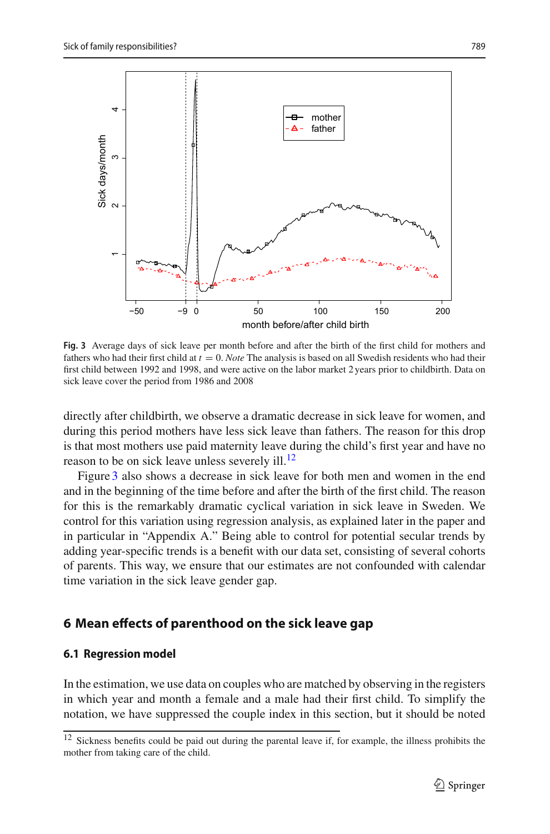

<span id="page-12-1"></span>**Fig. 3** Average days of sick leave per month before and after the birth of the first child for mothers and fathers who had their first child at *t* = 0. *Note* The analysis is based on all Swedish residents who had their first child between 1992 and 1998, and were active on the labor market 2 years prior to childbirth. Data on sick leave cover the period from 1986 and 2008

directly after childbirth, we observe a dramatic decrease in sick leave for women, and during this period mothers have less sick leave than fathers. The reason for this drop is that most mothers use paid maternity leave during the child's first year and have no reason to be on sick leave unless severely ill.<sup>[12](#page-12-2)</sup>

Figure [3](#page-12-1) also shows a decrease in sick leave for both men and women in the end and in the beginning of the time before and after the birth of the first child. The reason for this is the remarkably dramatic cyclical variation in sick leave in Sweden. We control for this variation using regression analysis, as explained later in the paper and in particular in "Appendix A." Being able to control for potential secular trends by adding year-specific trends is a benefit with our data set, consisting of several cohorts of parents. This way, we ensure that our estimates are not confounded with calendar time variation in the sick leave gender gap.

# <span id="page-12-0"></span>**6 Mean effects of parenthood on the sick leave gap**

### **6.1 Regression model**

In the estimation, we use data on couples who are matched by observing in the registers in which year and month a female and a male had their first child. To simplify the notation, we have suppressed the couple index in this section, but it should be noted

<span id="page-12-2"></span><sup>&</sup>lt;sup>12</sup> Sickness benefits could be paid out during the parental leave if, for example, the illness prohibits the mother from taking care of the child.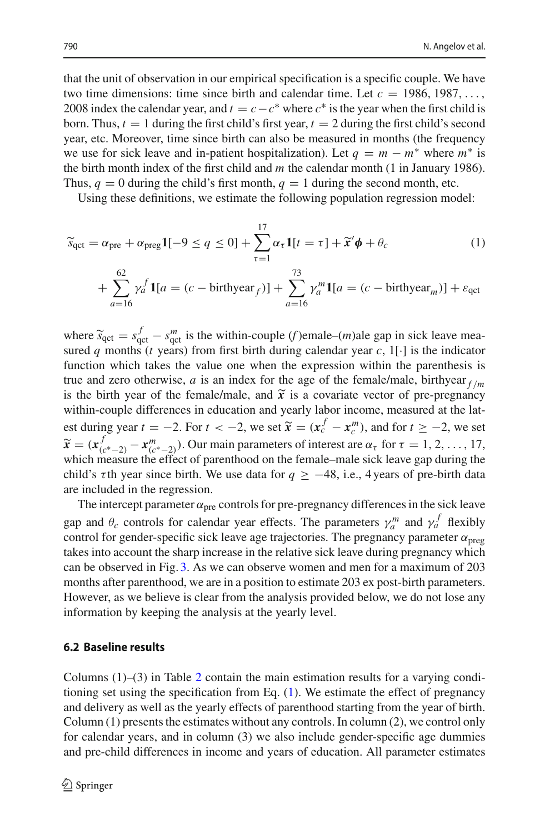that the unit of observation in our empirical specification is a specific couple. We have two time dimensions: time since birth and calendar time. Let  $c = 1986, 1987, \ldots$ , 2008 index the calendar year, and  $t = c - c^*$  where  $c^*$  is the year when the first child is born. Thus,  $t = 1$  during the first child's first year,  $t = 2$  during the first child's second year, etc. Moreover, time since birth can also be measured in months (the frequency we use for sick leave and in-patient hospitalization). Let  $q = m - m^*$  where  $m^*$  is the birth month index of the first child and *m* the calendar month (1 in January 1986). Thus,  $q = 0$  during the child's first month,  $q = 1$  during the second month, etc.<br>- Using these definitions we estimate the following population regression moo

Thus, 
$$
q = 0
$$
 during the child's first month,  $q = 1$  during the second month, etc.  
Using these definitions, we estimate the following population regression model:  

$$
\tilde{s}_{\text{qct}} = \alpha_{\text{pre}} + \alpha_{\text{preg}} \mathbf{1}[-9 \le q \le 0] + \sum_{\tau=1}^{17} \alpha_{\tau} \mathbf{1}[t = \tau] + \tilde{x}'\boldsymbol{\phi} + \theta_c
$$
(1)  

$$
+ \sum_{\tau=1}^{62} \gamma_a^f \mathbf{1}[a = (c - \text{birthyear}_f)] + \sum_{\tau=1}^{73} \gamma_a^m \mathbf{1}[a = (c - \text{birthyear}_m)] + \varepsilon_{\text{qct}}
$$

<span id="page-13-1"></span> $a=16$ 

 $+ \sum_{a=16} \gamma_a^J \mathbf{1}[a = (c - \text{birthyear}_f)] + \sum_{a=16} \gamma_a^m \mathbf{1}[a = (c - \text{birthyear}_m)] + \varepsilon_{\text{qct}}$ <br>where  $\tilde{s}_{\text{qct}} = s_{\text{qct}}^f - s_{\text{qct}}^m$  is the within-couple (*f*)emale–(*m*)ale gap in sick leave measured *q* months (*t* years) from first birth during calendar year *c*, 1[·] is the indicator function which takes the value one when the expression within the parenthesis is true and zero otherwise, *a* is an index for the age of the female/male, birthyear  $f/m$ sured q months (*t* years) from first birth dur<br>function which takes the value one when the true and zero otherwise, a is an index for the site birth year of the female/male, and  $\tilde{x}$ is the birth year of the female/male, and  $\tilde{x}$  is a covariate vector of pre-pregnancy within-couple differences in education and yearly labor income, measured at the lattrue and zero otherwise, *a* is an index for the age of the female/male, birthyear  $f/m$  is the birth year of the female/male, and  $\tilde{x}$  is a covariate vector of pre-pregnancy within-couple differences in education and y  $\widetilde{\mathbf{x}} = (\mathbf{x}_{(c^* - 2)}^f - \mathbf{x}_{(c^* - 2)}^m)$ . Our main parameters of interest are  $\alpha_{\tau}$  for  $\tau = 1, 2, ..., 17$ , which measure the effect of parenthood on the female–male sick leave gap during the child's  $\tau$ th year since birth. We use data for  $q > -48$ , i.e., 4 years of pre-birth data are included in the regression.

The intercept parameter  $\alpha_{pre}$  controls for pre-pregnancy differences in the sick leave gap and  $\theta_c$  controls for calendar year effects. The parameters  $\gamma_a^m$  and  $\gamma_a^f$  flexibly control for gender-specific sick leave age trajectories. The pregnancy parameter  $\alpha_{\text{tree}}$ takes into account the sharp increase in the relative sick leave during pregnancy which can be observed in Fig. [3.](#page-12-1) As we can observe women and men for a maximum of 203 months after parenthood, we are in a position to estimate 203 ex post-birth parameters. However, as we believe is clear from the analysis provided below, we do not lose any information by keeping the analysis at the yearly level.

#### <span id="page-13-0"></span>**6.2 Baseline results**

 $a=16$ 

Columns  $(1)$ – $(3)$  in Table [2](#page-15-0) contain the main estimation results for a varying conditioning set using the specification from Eq. [\(1\)](#page-13-1). We estimate the effect of pregnancy and delivery as well as the yearly effects of parenthood starting from the year of birth. Column (1) presents the estimates without any controls. In column (2), we control only for calendar years, and in column (3) we also include gender-specific age dummies and pre-child differences in income and years of education. All parameter estimates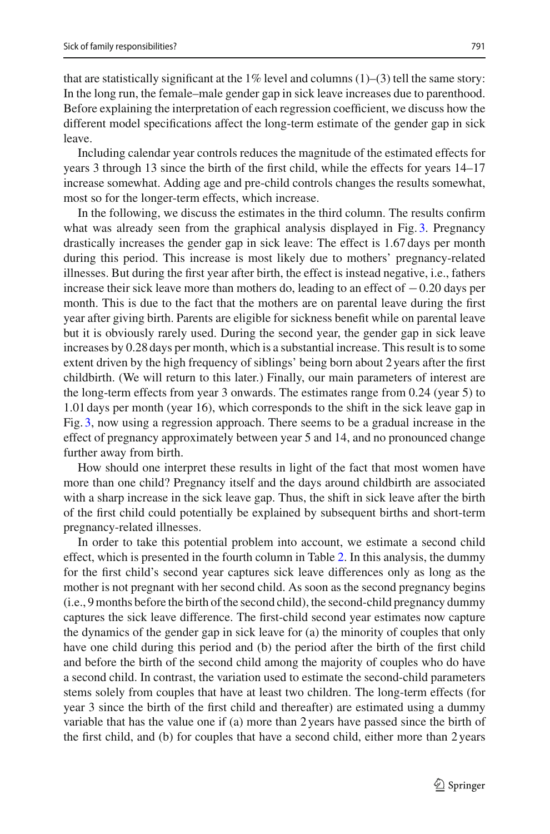that are statistically significant at the  $1\%$  level and columns (1)–(3) tell the same story: In the long run, the female–male gender gap in sick leave increases due to parenthood. Before explaining the interpretation of each regression coefficient, we discuss how the different model specifications affect the long-term estimate of the gender gap in sick leave.

Including calendar year controls reduces the magnitude of the estimated effects for years 3 through 13 since the birth of the first child, while the effects for years 14–17 increase somewhat. Adding age and pre-child controls changes the results somewhat, most so for the longer-term effects, which increase.

In the following, we discuss the estimates in the third column. The results confirm what was already seen from the graphical analysis displayed in Fig. [3.](#page-12-1) Pregnancy drastically increases the gender gap in sick leave: The effect is 1.67 days per month during this period. This increase is most likely due to mothers' pregnancy-related illnesses. But during the first year after birth, the effect is instead negative, i.e., fathers increase their sick leave more than mothers do, leading to an effect of  $-0.20$  days per month. This is due to the fact that the mothers are on parental leave during the first year after giving birth. Parents are eligible for sickness benefit while on parental leave but it is obviously rarely used. During the second year, the gender gap in sick leave increases by 0.28 days per month, which is a substantial increase. This result is to some extent driven by the high frequency of siblings' being born about 2 years after the first childbirth. (We will return to this later.) Finally, our main parameters of interest are the long-term effects from year 3 onwards. The estimates range from 0.24 (year 5) to 1.01 days per month (year 16), which corresponds to the shift in the sick leave gap in Fig. [3,](#page-12-1) now using a regression approach. There seems to be a gradual increase in the effect of pregnancy approximately between year 5 and 14, and no pronounced change further away from birth.

How should one interpret these results in light of the fact that most women have more than one child? Pregnancy itself and the days around childbirth are associated with a sharp increase in the sick leave gap. Thus, the shift in sick leave after the birth of the first child could potentially be explained by subsequent births and short-term pregnancy-related illnesses.

In order to take this potential problem into account, we estimate a second child effect, which is presented in the fourth column in Table [2.](#page-15-0) In this analysis, the dummy for the first child's second year captures sick leave differences only as long as the mother is not pregnant with her second child. As soon as the second pregnancy begins (i.e., 9 months before the birth of the second child), the second-child pregnancy dummy captures the sick leave difference. The first-child second year estimates now capture the dynamics of the gender gap in sick leave for (a) the minority of couples that only have one child during this period and (b) the period after the birth of the first child and before the birth of the second child among the majority of couples who do have a second child. In contrast, the variation used to estimate the second-child parameters stems solely from couples that have at least two children. The long-term effects (for year 3 since the birth of the first child and thereafter) are estimated using a dummy variable that has the value one if (a) more than 2 years have passed since the birth of the first child, and (b) for couples that have a second child, either more than 2 years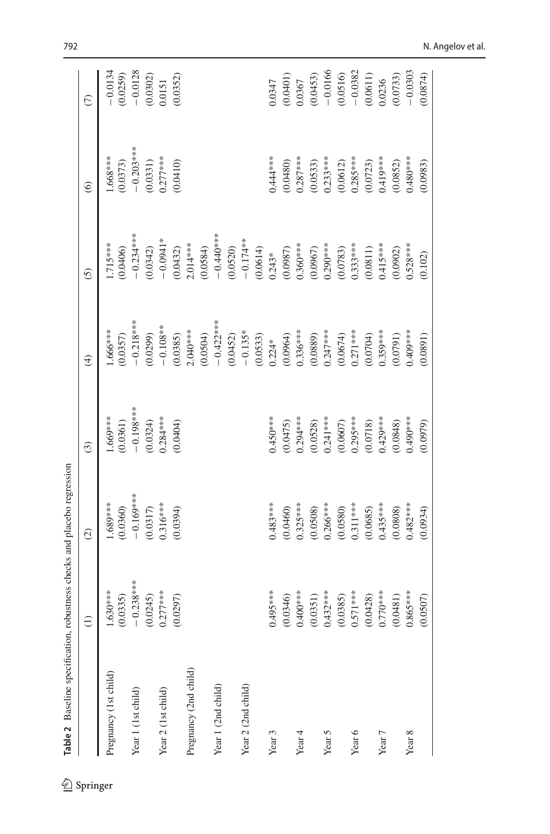<span id="page-15-0"></span>

| Table 2 Baseline specification, robustness checks and placebo regression |                         |                         |                                     |                          |                                                   |                                                       |                                                                           |
|--------------------------------------------------------------------------|-------------------------|-------------------------|-------------------------------------|--------------------------|---------------------------------------------------|-------------------------------------------------------|---------------------------------------------------------------------------|
|                                                                          | $\widehat{\Xi}$         | $\widehat{\omega}$      | $\widehat{c}$                       | $\widehat{\mathcal{F}}$  | $\overline{6}$                                    | $\widehat{\circ}$                                     | $\widehat{C}$                                                             |
| Pregnancy (1st child)                                                    | $1.630***$<br>(0.0335)  | $.689***$<br>(0.0360)   | $.669***$                           | $.666***$<br>(0.0357)    | $.715***$<br>(0.0406)                             | $0.668***$                                            |                                                                           |
| Year 1 (1st child)                                                       | $-0.238***$<br>(0.0245) | $-0.169***$<br>(0.0317) | $(0.0361)$<br>-0.198***<br>(0.0324) | $-0.218***$<br>(0.0299)  | $-0.234***$<br>(0.0342)                           | $(0.0373)$<br>$- 0.203$ ***<br>$(0.0331)$<br>0.277*** | $\begin{array}{r} -0.0134 \\ (0.0259) \\ -0.0128 \\ (0.0302) \end{array}$ |
| Year 2 (1st child)                                                       | $0.277***$              | $0.316***$              | $0.284***$                          | $-0.108**$               | $-0.0941*$                                        |                                                       | 0.0151                                                                    |
| Pregnancy (2nd child)                                                    | (0.0297)                | (0.0394)                | (0.0404)                            | $2.040***$<br>(0.0385)   | $(0.0432)$<br>2.014***<br>$(0.0584)$              | (0.0410)                                              | (0.0352)                                                                  |
| Year 1 (2nd child)                                                       |                         |                         |                                     | $-0.422$ ***<br>(0.0504) | $-0.40$ **                                        |                                                       |                                                                           |
|                                                                          |                         |                         |                                     | (0.0452)                 |                                                   |                                                       |                                                                           |
| Year 2 (2nd child)                                                       |                         |                         |                                     | $-0.135*$<br>(0.0533)    | $(0.0520)$<br>$- 0.174**$<br>$(0.0614)$<br>0.243* |                                                       |                                                                           |
| Year <sub>3</sub>                                                        | $0.495***$              | $0.483***$              | $0.450***$                          | $0.224*$                 |                                                   | $0.444***$                                            | 1.0347                                                                    |
|                                                                          | (0.0346)                | (0.0460)                | (0.0475)                            |                          |                                                   | (0.0480)                                              | 0.0401)                                                                   |
| Year 4                                                                   | 0.4004                  | $0.325***$              | $0.294***$                          | $(0.0964)$<br>0.336***   | $(0.0987)$<br>0.360***<br>(0.0967)<br>0.290***    | $0.287***$                                            | 1.0367                                                                    |
|                                                                          | (0.0351)                | (0.0508)                | $(0.0528)$<br>0.241***              | (0.0889)                 |                                                   | $(0.0533)$<br>0.233****                               | $(0.0453)$<br>-0.0166                                                     |
| Year 5                                                                   | $0.432***$              | $0.266$ ***             |                                     | $0.247***$               |                                                   |                                                       |                                                                           |
|                                                                          | (0.0385)                | (0.0580)                | $(0.0607)$<br>0.295***              | (0.0674)                 | (0.0783)                                          | $(0.0612)$<br>0.285***<br>$(0.0723)$<br>0.419***      | (0.0516)                                                                  |
| Year 6                                                                   | $0.571***$              | $0.311***$              |                                     | $0.271***$               | $0.333***$<br>(0.0811)                            |                                                       | $-0.0382$                                                                 |
|                                                                          | (0.0428)                | (0.0685)                | (0.0718)                            | (0.0704)                 |                                                   |                                                       | $(0.0611)$<br>$0.0236$                                                    |
| Year 7                                                                   | $0.770***$              | $0.435***$              | 1.429***                            | $0.359***$               | $0.415***$                                        |                                                       |                                                                           |
|                                                                          | (0.0481)                | (0.0808)                | (0.0848)                            | (0.0791)                 | (0.0902)                                          | (0.0852)                                              | (0.0733)                                                                  |
| Year 8                                                                   | $0.865***$              | $0.482***$              | $0.490***$                          | $0.409***$               | $0.528***$                                        | $0.480***$                                            | $-0.0303$                                                                 |
|                                                                          | (0.0507)                | (0.0934)                | (0.0979)                            | (0.0891)                 | (0.102)                                           | (0.0983)                                              | (0.0874)                                                                  |
|                                                                          |                         |                         |                                     |                          |                                                   |                                                       |                                                                           |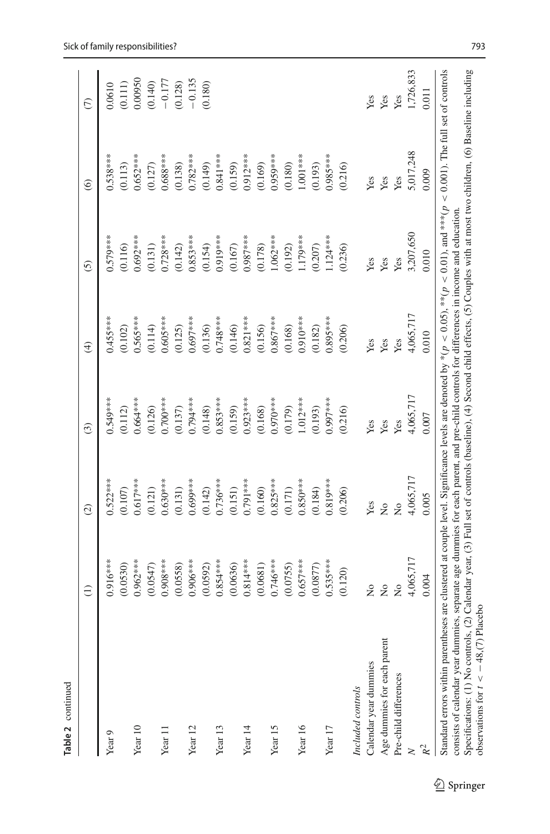| Table 2 continued                                                                                                                                                                                                                                                                                                                                                      |                                                                                                                                                 |               |                         |                    |            |                        |               |
|------------------------------------------------------------------------------------------------------------------------------------------------------------------------------------------------------------------------------------------------------------------------------------------------------------------------------------------------------------------------|-------------------------------------------------------------------------------------------------------------------------------------------------|---------------|-------------------------|--------------------|------------|------------------------|---------------|
|                                                                                                                                                                                                                                                                                                                                                                        | $\widehat{\Xi}$                                                                                                                                 | $\widehat{c}$ | $\widehat{\mathcal{E}}$ | $\widehat{\Theta}$ | <u>රි</u>  | $\widehat{\mathbf{e}}$ | $\widehat{C}$ |
| Year <sub>9</sub>                                                                                                                                                                                                                                                                                                                                                      | $0.916***$                                                                                                                                      | $0.522***$    | 1.549****               | $0.455***$         | $0.579***$ | $0.538***$             | 0.0610        |
|                                                                                                                                                                                                                                                                                                                                                                        | (0.0530)                                                                                                                                        | (0.107)       | (0.112)                 | (0.102)            | (0.116)    | (0.113)                | (0.111)       |
| Year 10                                                                                                                                                                                                                                                                                                                                                                | $0.962***$                                                                                                                                      | $0.617***$    | $0.664***$              | $3.565***$         | $0.692***$ | $0.652***$             | 0.00950       |
|                                                                                                                                                                                                                                                                                                                                                                        | (0.0547)                                                                                                                                        | (0.121)       | (0.126)                 | (0.114)            | (0.131)    | (0.127)                | (0.140)       |
| Year 11                                                                                                                                                                                                                                                                                                                                                                | $0.908***$                                                                                                                                      | $0.630***$    | 0.700                   | $0.605***$         | $0.728***$ | $0.688***$             | $-0.177$      |
|                                                                                                                                                                                                                                                                                                                                                                        | (0.0558)                                                                                                                                        | (0.131)       | (0.137)                 | (0.125)            | (0.142)    | (0.138)                | (0.128)       |
| Year 12                                                                                                                                                                                                                                                                                                                                                                | $0.906***$                                                                                                                                      | $0.699***$    | $0.794***$              | $0.697***$         | $0.853***$ | $0.782***$             | $-0.135$      |
|                                                                                                                                                                                                                                                                                                                                                                        | (0.0592)                                                                                                                                        | (0.142)       | (0.148)                 | (0.136)            | (0.154)    | (0.149)                | (0.180)       |
| Year <sub>13</sub>                                                                                                                                                                                                                                                                                                                                                     | $0.854***$                                                                                                                                      | $0.736***$    | $0.853***$              | $0.748***$         | $0.919***$ | $0.841***$             |               |
|                                                                                                                                                                                                                                                                                                                                                                        | (0.0636)                                                                                                                                        | (0.151)       | (0.159)                 | (0.146)            | (0.167)    | (0.159)                |               |
| Year 14                                                                                                                                                                                                                                                                                                                                                                | $0.814***$                                                                                                                                      | $0.791***$    | $0.923***$              | $0.821***$         | $0.987***$ | $0.912***$             |               |
|                                                                                                                                                                                                                                                                                                                                                                        | (0.0681)                                                                                                                                        | (0.160)       | (0.168)                 | (0.156)            | (0.178)    | (0.169)                |               |
| Year 15                                                                                                                                                                                                                                                                                                                                                                | $0.746***$                                                                                                                                      | $0.825***$    | $0.970***$              | $0.867***$         | $1.062***$ | $0.959***$             |               |
|                                                                                                                                                                                                                                                                                                                                                                        | (0.0755)                                                                                                                                        | (0.171)       | (0.179)                 | (0.168)            | (0.192)    | (0.180)                |               |
| Year 16                                                                                                                                                                                                                                                                                                                                                                | $0.657***$                                                                                                                                      | $0.850***$    | $.012***$               | 1.910***           | 179***     | $1.001***$             |               |
|                                                                                                                                                                                                                                                                                                                                                                        | (0.0877)                                                                                                                                        | (0.184)       | (0.193)                 | (0.182)            | (0.207)    | (0.193)                |               |
| Year 17                                                                                                                                                                                                                                                                                                                                                                | $0.535***$                                                                                                                                      | $0.819***$    | $0.997***$              | $0.895***$         | $.124***$  | $0.985***$             |               |
|                                                                                                                                                                                                                                                                                                                                                                        | (0.120)                                                                                                                                         | (0.206)       | (0.216)                 | (0.206)            | (0.236)    | (0.216)                |               |
| Included controls                                                                                                                                                                                                                                                                                                                                                      |                                                                                                                                                 |               |                         |                    |            |                        |               |
| Calendar year dummies                                                                                                                                                                                                                                                                                                                                                  | $\frac{1}{2}$                                                                                                                                   | Yes           | Yes                     | Yes                | Yes        | Yes                    | Yes           |
| Age dummies for each parent                                                                                                                                                                                                                                                                                                                                            | $\overline{R}$                                                                                                                                  | $\frac{1}{2}$ | Yes                     | Yes                | Yes        | Yes                    | Yes           |
| Pre-child differences                                                                                                                                                                                                                                                                                                                                                  | $\frac{1}{2}$                                                                                                                                   | $\frac{1}{2}$ | Yes                     | Yes                | Yes        | Yes                    | Yes           |
|                                                                                                                                                                                                                                                                                                                                                                        | 4,065,717                                                                                                                                       | 4,065,717     | 4,065,717               | 4,065,717          | 3,207,650  | 5,017,248              | 1,726,833     |
| $R^2$                                                                                                                                                                                                                                                                                                                                                                  | 0.004                                                                                                                                           | 0.005         | 0.007                   | 0.010              | 0.010      | 0.009                  | 0.011         |
| Standard errors within parentheses are clustered at couple level. Significance levels are denoted by $*(p < 0.05)$ , $**(p < 0.01)$ , and $***(p < 0.0001)$ . The full set of controls<br>consists of calendar year dummies, separate age dummies for each parent, and pre-child controls for differences in income and education.<br>Specifications: (1) No controls, | (2) Calendar year, (3) Full set of controls (baseline), (4) Second child effects, (5) Couples with at most two children, (6) Baseline including |               |                         |                    |            |                        |               |
| observations for $t < -48$ , (7) Placebo                                                                                                                                                                                                                                                                                                                               |                                                                                                                                                 |               |                         |                    |            |                        |               |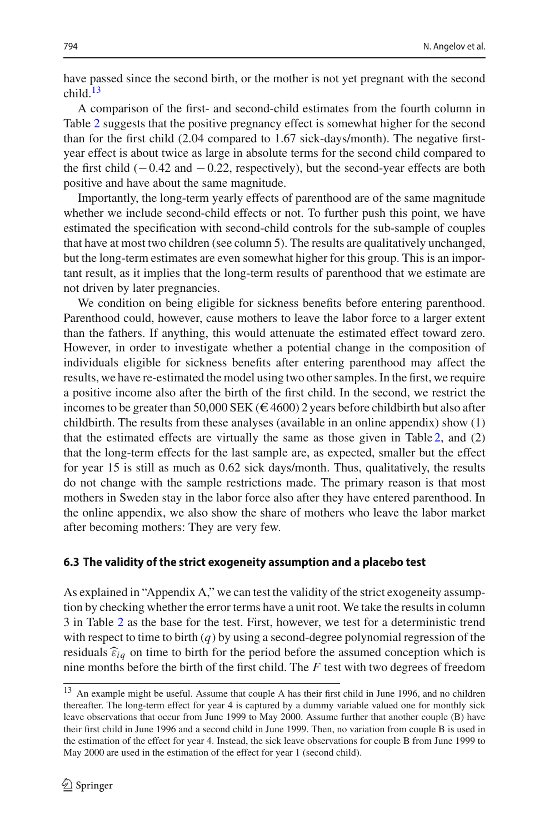have passed since the second birth, or the mother is not yet pregnant with the second child. $13$ 

A comparison of the first- and second-child estimates from the fourth column in Table [2](#page-15-0) suggests that the positive pregnancy effect is somewhat higher for the second than for the first child (2.04 compared to 1.67 sick-days/month). The negative firstyear effect is about twice as large in absolute terms for the second child compared to the first child  $(-0.42 \text{ and } -0.22)$ , respectively), but the second-year effects are both positive and have about the same magnitude.

Importantly, the long-term yearly effects of parenthood are of the same magnitude whether we include second-child effects or not. To further push this point, we have estimated the specification with second-child controls for the sub-sample of couples that have at most two children (see column 5). The results are qualitatively unchanged, but the long-term estimates are even somewhat higher for this group. This is an important result, as it implies that the long-term results of parenthood that we estimate are not driven by later pregnancies.

We condition on being eligible for sickness benefits before entering parenthood. Parenthood could, however, cause mothers to leave the labor force to a larger extent than the fathers. If anything, this would attenuate the estimated effect toward zero. However, in order to investigate whether a potential change in the composition of individuals eligible for sickness benefits after entering parenthood may affect the results, we have re-estimated the model using two other samples. In the first, we require a positive income also after the birth of the first child. In the second, we restrict the incomes to be greater than 50,000 SEK ( $\in$  4600) 2 years before childbirth but also after childbirth. The results from these analyses (available in an online appendix) show (1) that the estimated effects are virtually the same as those given in Table [2,](#page-15-0) and (2) that the long-term effects for the last sample are, as expected, smaller but the effect for year 15 is still as much as 0.62 sick days/month. Thus, qualitatively, the results do not change with the sample restrictions made. The primary reason is that most mothers in Sweden stay in the labor force also after they have entered parenthood. In the online appendix, we also show the share of mothers who leave the labor market after becoming mothers: They are very few.

### **6.3 The validity of the strict exogeneity assumption and a placebo test**

As explained in "Appendix A," we can test the validity of the strict exogeneity assumption by checking whether the error terms have a unit root. We take the results in column 3 in Table [2](#page-15-0) as the base for the test. First, however, we test for a deterministic trend with respect to time to birth (*q*) by using a second-degree polynomial regression of the residuals  $\widehat{\varepsilon}_{iq}$  on time to birth for the period before the assumed conception which is nine months before the birth of the first child. The *F* test with two degrees of freedom

<span id="page-17-0"></span><sup>&</sup>lt;sup>13</sup> An example might be useful. Assume that couple A has their first child in June 1996, and no children thereafter. The long-term effect for year 4 is captured by a dummy variable valued one for monthly sick leave observations that occur from June 1999 to May 2000. Assume further that another couple (B) have their first child in June 1996 and a second child in June 1999. Then, no variation from couple B is used in the estimation of the effect for year 4. Instead, the sick leave observations for couple B from June 1999 to May 2000 are used in the estimation of the effect for year 1 (second child).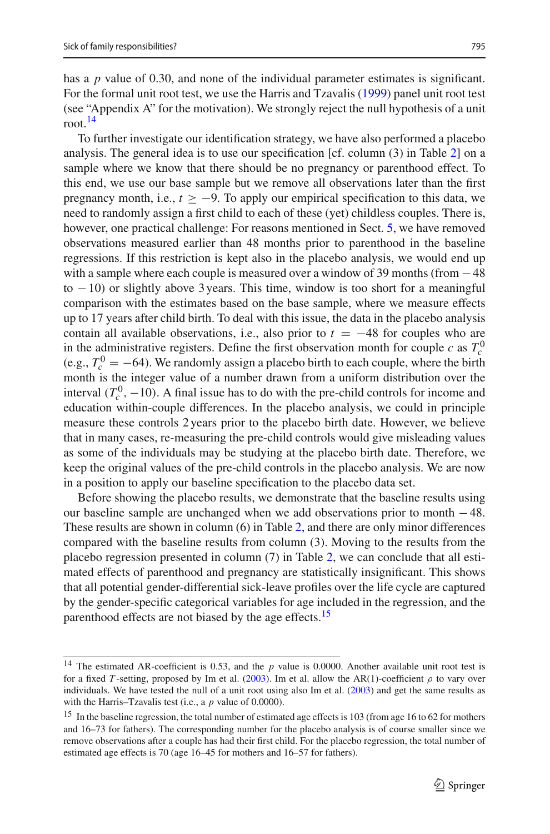has a *p* value of 0.30, and none of the individual parameter estimates is significant. For the formal unit root test, we use the Harris and Tzavali[s](#page-36-25) [\(1999](#page-36-25)) panel unit root test (see "Appendix A" for the motivation). We strongly reject the null hypothesis of a unit root.[14](#page-18-0)

To further investigate our identification strategy, we have also performed a placebo analysis. The general idea is to use our specification [cf. column (3) in Table [2\]](#page-15-0) on a sample where we know that there should be no pregnancy or parenthood effect. To this end, we use our base sample but we remove all observations later than the first pregnancy month, i.e.,  $t > -9$ . To apply our empirical specification to this data, we need to randomly assign a first child to each of these (yet) childless couples. There is, however, one practical challenge: For reasons mentioned in Sect. [5,](#page-9-0) we have removed observations measured earlier than 48 months prior to parenthood in the baseline regressions. If this restriction is kept also in the placebo analysis, we would end up with a sample where each couple is measured over a window of 39 months (from −48 to −10) or slightly above 3 years. This time, window is too short for a meaningful comparison with the estimates based on the base sample, where we measure effects up to 17 years after child birth. To deal with this issue, the data in the placebo analysis contain all available observations, i.e., also prior to  $t = -48$  for couples who are in the administrative registers. Define the first observation month for couple *c* as  $T_c^0$ (e.g.,  $T_c^0 = -64$ ). We randomly assign a placebo birth to each couple, where the birth month is the integer value of a number drawn from a uniform distribution over the interval  $(T_c^0, -10)$ . A final issue has to do with the pre-child controls for income and education within-couple differences. In the placebo analysis, we could in principle measure these controls 2 years prior to the placebo birth date. However, we believe that in many cases, re-measuring the pre-child controls would give misleading values as some of the individuals may be studying at the placebo birth date. Therefore, we keep the original values of the pre-child controls in the placebo analysis. We are now in a position to apply our baseline specification to the placebo data set.

Before showing the placebo results, we demonstrate that the baseline results using our baseline sample are unchanged when we add observations prior to month −48. These results are shown in column (6) in Table [2,](#page-15-0) and there are only minor differences compared with the baseline results from column (3). Moving to the results from the placebo regression presented in column (7) in Table [2,](#page-15-0) we can conclude that all estimated effects of parenthood and pregnancy are statistically insignificant. This shows that all potential gender-differential sick-leave profiles over the life cycle are captured by the gender-specific categorical variables for age included in the regression, and the parenthood effects are not biased by the age effects.<sup>[15](#page-18-1)</sup>

<span id="page-18-0"></span><sup>14</sup> The estimated AR-coefficient is 0.53, and the *p* value is 0.0000. Another available unit root test is for a fixed *T*-setting, proposed by Im et al[.](#page-36-26) [\(2003\)](#page-36-26). Im et al. allow the AR(1)-coefficient  $\rho$  to vary over individuals. We have tested the null of a unit root using also Im et al[.](#page-36-26) [\(2003](#page-36-26)) and get the same results as with the Harris–Tzavalis test (i.e., a *p* value of 0.0000).

<span id="page-18-1"></span><sup>&</sup>lt;sup>15</sup> In the baseline regression, the total number of estimated age effects is 103 (from age 16 to 62 for mothers and 16–73 for fathers). The corresponding number for the placebo analysis is of course smaller since we remove observations after a couple has had their first child. For the placebo regression, the total number of estimated age effects is 70 (age 16–45 for mothers and 16–57 for fathers).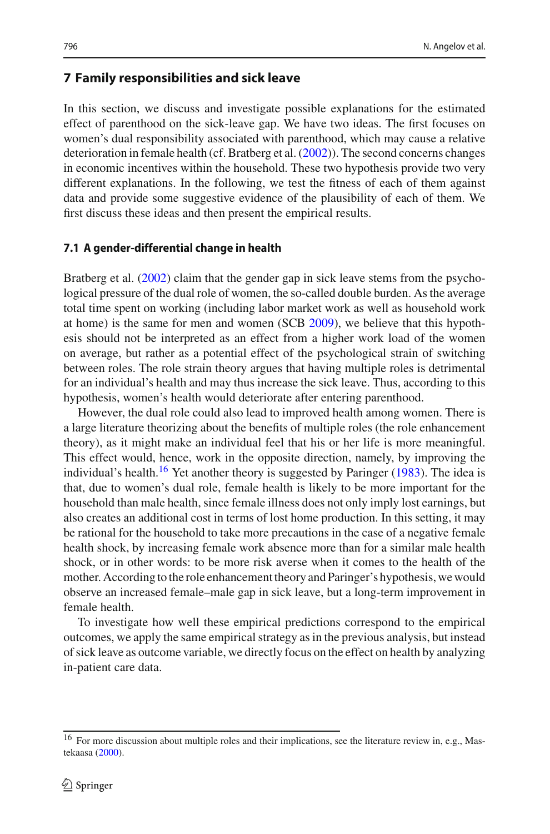### <span id="page-19-0"></span>**7 Family responsibilities and sick leave**

In this section, we discuss and investigate possible explanations for the estimated effect of parenthood on the sick-leave gap. We have two ideas. The first focuses on women's dual responsibility associated with parenthood, which may cause a relative deterioration in female health (cf. Bratberg et al[.](#page-36-11) [\(2002\)](#page-36-11)). The second concerns changes in economic incentives within the household. These two hypothesis provide two very different explanations. In the following, we test the fitness of each of them against data and provide some suggestive evidence of the plausibility of each of them. We first discuss these ideas and then present the empirical results.

#### **7.1 A gender-differential change in health**

Bratberg et al[.](#page-36-11) [\(2002](#page-36-11)) claim that the gender gap in sick leave stems from the psychological pressure of the dual role of women, the so-called double burden. As the average total time spent on working (including labor market work as well as household work at home) is the same for men and women (SC[B](#page-37-15) [2009](#page-37-15)), we believe that this hypothesis should not be interpreted as an effect from a higher work load of the women on average, but rather as a potential effect of the psychological strain of switching between roles. The role strain theory argues that having multiple roles is detrimental for an individual's health and may thus increase the sick leave. Thus, according to this hypothesis, women's health would deteriorate after entering parenthood.

However, the dual role could also lead to improved health among women. There is a large literature theorizing about the benefits of multiple roles (the role enhancement theory), as it might make an individual feel that his or her life is more meaningful. This effect would, hence, work in the opposite direction, namely, by improving the individual's health.<sup>[16](#page-19-1)</sup> Yet anothe[r](#page-37-9) theory is suggested by Paringer [\(1983](#page-37-9)). The idea is that, due to women's dual role, female health is likely to be more important for the household than male health, since female illness does not only imply lost earnings, but also creates an additional cost in terms of lost home production. In this setting, it may be rational for the household to take more precautions in the case of a negative female health shock, by increasing female work absence more than for a similar male health shock, or in other words: to be more risk averse when it comes to the health of the mother. According to the role enhancement theory and Paringer's hypothesis, we would observe an increased female–male gap in sick leave, but a long-term improvement in female health.

To investigate how well these empirical predictions correspond to the empirical outcomes, we apply the same empirical strategy as in the previous analysis, but instead of sick leave as outcome variable, we directly focus on the effect on health by analyzing in-patient care data.

<span id="page-19-1"></span><sup>16</sup> For more discussion about multiple roles and their implications, see the literature review in, e.g., Mastekaas[a](#page-37-6) [\(2000\)](#page-37-6).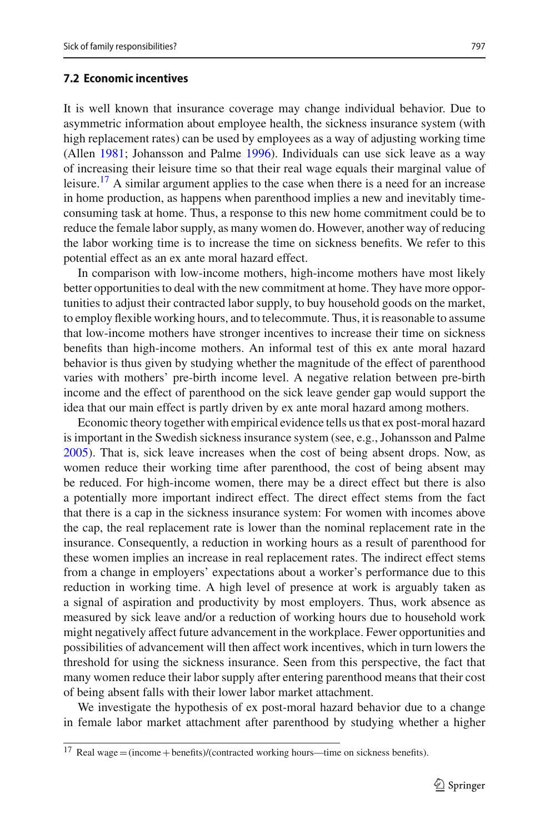### <span id="page-20-1"></span>**7.2 Economic incentives**

It is well known that insurance coverage may change individual behavior. Due to asymmetric information about employee health, the sickness insurance system (with high replacement rates) can be used by employees as a way of adjusting working time (Alle[n](#page-36-27) [1981;](#page-36-27) Johansson and Palm[e](#page-37-22) [1996](#page-37-22)). Individuals can use sick leave as a way of increasing their leisure time so that their real wage equals their marginal value of leisure.<sup>[17](#page-20-0)</sup> A similar argument applies to the case when there is a need for an increase in home production, as happens when parenthood implies a new and inevitably timeconsuming task at home. Thus, a response to this new home commitment could be to reduce the female labor supply, as many women do. However, another way of reducing the labor working time is to increase the time on sickness benefits. We refer to this potential effect as an ex ante moral hazard effect.

In comparison with low-income mothers, high-income mothers have most likely better opportunities to deal with the new commitment at home. They have more opportunities to adjust their contracted labor supply, to buy household goods on the market, to employ flexible working hours, and to telecommute. Thus, it is reasonable to assume that low-income mothers have stronger incentives to increase their time on sickness benefits than high-income mothers. An informal test of this ex ante moral hazard behavior is thus given by studying whether the magnitude of the effect of parenthood varies with mothers' pre-birth income level. A negative relation between pre-birth income and the effect of parenthood on the sick leave gender gap would support the idea that our main effect is partly driven by ex ante moral hazard among mothers.

Economic theory together with empirical evidence tells us that ex post-moral hazard is important in the Swedish sickness insurance system (see, e.g., Johansson and Palm[e](#page-37-10) [2005\)](#page-37-10). That is, sick leave increases when the cost of being absent drops. Now, as women reduce their working time after parenthood, the cost of being absent may be reduced. For high-income women, there may be a direct effect but there is also a potentially more important indirect effect. The direct effect stems from the fact that there is a cap in the sickness insurance system: For women with incomes above the cap, the real replacement rate is lower than the nominal replacement rate in the insurance. Consequently, a reduction in working hours as a result of parenthood for these women implies an increase in real replacement rates. The indirect effect stems from a change in employers' expectations about a worker's performance due to this reduction in working time. A high level of presence at work is arguably taken as a signal of aspiration and productivity by most employers. Thus, work absence as measured by sick leave and/or a reduction of working hours due to household work might negatively affect future advancement in the workplace. Fewer opportunities and possibilities of advancement will then affect work incentives, which in turn lowers the threshold for using the sickness insurance. Seen from this perspective, the fact that many women reduce their labor supply after entering parenthood means that their cost of being absent falls with their lower labor market attachment.

We investigate the hypothesis of ex post-moral hazard behavior due to a change in female labor market attachment after parenthood by studying whether a higher

<span id="page-20-0"></span><sup>&</sup>lt;sup>17</sup> Real wage = (income + benefits)/(contracted working hours—time on sickness benefits).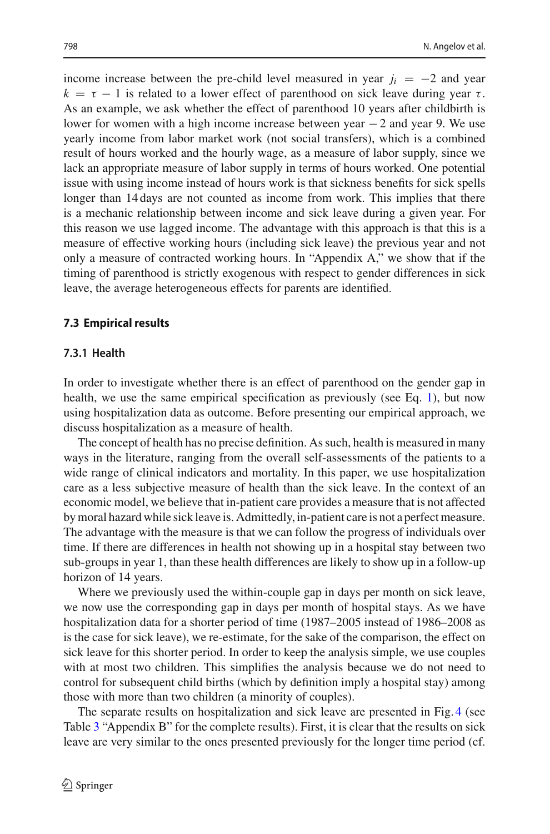income increase between the pre-child level measured in year  $j_i = -2$  and year  $k = \tau - 1$  is related to a lower effect of parenthood on sick leave during year  $\tau$ . As an example, we ask whether the effect of parenthood 10 years after childbirth is lower for women with a high income increase between year  $-2$  and year 9. We use yearly income from labor market work (not social transfers), which is a combined result of hours worked and the hourly wage, as a measure of labor supply, since we lack an appropriate measure of labor supply in terms of hours worked. One potential issue with using income instead of hours work is that sickness benefits for sick spells longer than 14 days are not counted as income from work. This implies that there is a mechanic relationship between income and sick leave during a given year. For this reason we use lagged income. The advantage with this approach is that this is a measure of effective working hours (including sick leave) the previous year and not only a measure of contracted working hours. In "Appendix A," we show that if the timing of parenthood is strictly exogenous with respect to gender differences in sick leave, the average heterogeneous effects for parents are identified.

#### **7.3 Empirical results**

### <span id="page-21-0"></span>**7.3.1 Health**

In order to investigate whether there is an effect of parenthood on the gender gap in health, we use the same empirical specification as previously (see Eq. [1\)](#page-13-1), but now using hospitalization data as outcome. Before presenting our empirical approach, we discuss hospitalization as a measure of health.

The concept of health has no precise definition. As such, health is measured in many ways in the literature, ranging from the overall self-assessments of the patients to a wide range of clinical indicators and mortality. In this paper, we use hospitalization care as a less subjective measure of health than the sick leave. In the context of an economic model, we believe that in-patient care provides a measure that is not affected by moral hazard while sick leave is. Admittedly, in-patient care is not a perfect measure. The advantage with the measure is that we can follow the progress of individuals over time. If there are differences in health not showing up in a hospital stay between two sub-groups in year 1, than these health differences are likely to show up in a follow-up horizon of 14 years.

Where we previously used the within-couple gap in days per month on sick leave, we now use the corresponding gap in days per month of hospital stays. As we have hospitalization data for a shorter period of time (1987–2005 instead of 1986–2008 as is the case for sick leave), we re-estimate, for the sake of the comparison, the effect on sick leave for this shorter period. In order to keep the analysis simple, we use couples with at most two children. This simplifies the analysis because we do not need to control for subsequent child births (which by definition imply a hospital stay) among those with more than two children (a minority of couples).

The separate results on hospitalization and sick leave are presented in Fig. [4](#page-23-1) (see Table [3](#page-28-0) "Appendix B" for the complete results). First, it is clear that the results on sick leave are very similar to the ones presented previously for the longer time period (cf.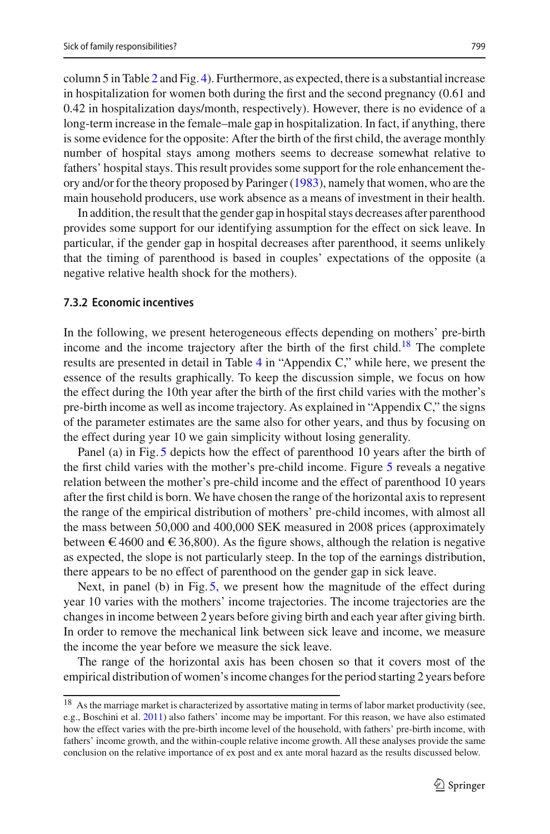column 5 in Table [2](#page-15-0) and Fig. [4\)](#page-23-1). Furthermore, as expected, there is a substantial increase in hospitalization for women both during the first and the second pregnancy (0.61 and 0.42 in hospitalization days/month, respectively). However, there is no evidence of a long-term increase in the female–male gap in hospitalization. In fact, if anything, there is some evidence for the opposite: After the birth of the first child, the average monthly number of hospital stays among mothers seems to decrease somewhat relative to fathers' hospital stays. This result provides some support for the role enhancement theory and/or for the theory proposed by Paringe[r](#page-37-9) [\(1983\)](#page-37-9), namely that women, who are the main household producers, use work absence as a means of investment in their health.

In addition, the result that the gender gap in hospital stays decreases after parenthood provides some support for our identifying assumption for the effect on sick leave. In particular, if the gender gap in hospital decreases after parenthood, it seems unlikely that the timing of parenthood is based in couples' expectations of the opposite (a negative relative health shock for the mothers).

### <span id="page-22-1"></span>**7.3.2 Economic incentives**

In the following, we present heterogeneous effects depending on mothers' pre-birth income and the income trajectory after the birth of the first child.<sup>18</sup> The complete results are presented in detail in Table [4](#page-31-0) in "Appendix C," while here, we present the essence of the results graphically. To keep the discussion simple, we focus on how the effect during the 10th year after the birth of the first child varies with the mother's pre-birth income as well as income trajectory. As explained in "Appendix C," the signs of the parameter estimates are the same also for other years, and thus by focusing on the effect during year 10 we gain simplicity without losing generality.

Panel (a) in Fig. [5](#page-24-0) depicts how the effect of parenthood 10 years after the birth of the first child varies with the mother's pre-child income. Figure [5](#page-24-0) reveals a negative relation between the mother's pre-child income and the effect of parenthood 10 years after the first child is born. We have chosen the range of the horizontal axis to represent the range of the empirical distribution of mothers' pre-child incomes, with almost all the mass between 50,000 and 400,000 SEK measured in 2008 prices (approximately between  $\in$  4600 and  $\in$  36,800). As the figure shows, although the relation is negative as expected, the slope is not particularly steep. In the top of the earnings distribution, there appears to be no effect of parenthood on the gender gap in sick leave.

Next, in panel (b) in Fig. [5,](#page-24-0) we present how the magnitude of the effect during year 10 varies with the mothers' income trajectories. The income trajectories are the changes in income between 2 years before giving birth and each year after giving birth. In order to remove the mechanical link between sick leave and income, we measure the income the year before we measure the sick leave.

The range of the horizontal axis has been chosen so that it covers most of the empirical distribution of women's income changes for the period starting 2 years before

<span id="page-22-0"></span><sup>&</sup>lt;sup>18</sup> As the marriage market is characterized by assortative mating in terms of labor market productivity (see, e.g., Boschini et al[.](#page-36-28) [2011](#page-36-28)) also fathers' income may be important. For this reason, we have also estimated how the effect varies with the pre-birth income level of the household, with fathers' pre-birth income, with fathers' income growth, and the within-couple relative income growth. All these analyses provide the same conclusion on the relative importance of ex post and ex ante moral hazard as the results discussed below.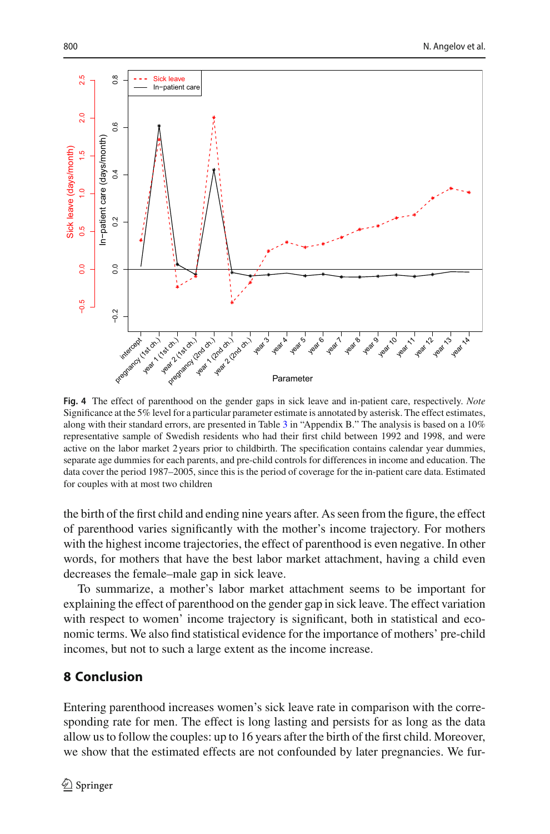

<span id="page-23-1"></span>**Fig. 4** The effect of parenthood on the gender gaps in sick leave and in-patient care, respectively. *Note* Significance at the 5% level for a particular parameter estimate is annotated by asterisk. The effect estimates, along with their standard errors, are presented in Table [3](#page-28-0) in "Appendix B." The analysis is based on a 10% representative sample of Swedish residents who had their first child between 1992 and 1998, and were active on the labor market 2 years prior to childbirth. The specification contains calendar year dummies, separate age dummies for each parents, and pre-child controls for differences in income and education. The data cover the period 1987–2005, since this is the period of coverage for the in-patient care data. Estimated for couples with at most two children

the birth of the first child and ending nine years after. As seen from the figure, the effect of parenthood varies significantly with the mother's income trajectory. For mothers with the highest income trajectories, the effect of parenthood is even negative. In other words, for mothers that have the best labor market attachment, having a child even decreases the female–male gap in sick leave.

To summarize, a mother's labor market attachment seems to be important for explaining the effect of parenthood on the gender gap in sick leave. The effect variation with respect to women' income trajectory is significant, both in statistical and economic terms. We also find statistical evidence for the importance of mothers' pre-child incomes, but not to such a large extent as the income increase.

# <span id="page-23-0"></span>**8 Conclusion**

Entering parenthood increases women's sick leave rate in comparison with the corresponding rate for men. The effect is long lasting and persists for as long as the data allow us to follow the couples: up to 16 years after the birth of the first child. Moreover, we show that the estimated effects are not confounded by later pregnancies. We fur-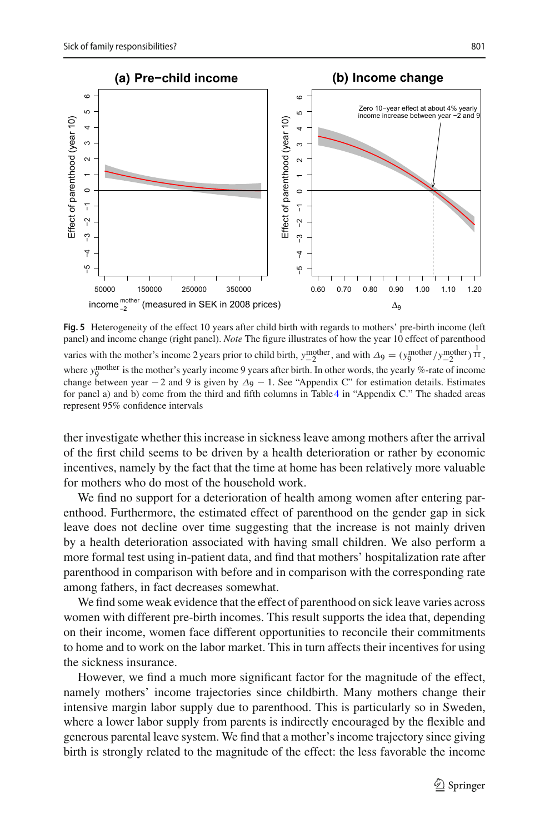

<span id="page-24-0"></span>**Fig. 5** Heterogeneity of the effect 10 years after child birth with regards to mothers' pre-birth income (left panel) and income change (right panel). *Note* The figure illustrates of how the year 10 effect of parenthood varies with the mother's income 2 years prior to child birth,  $y_{-2}^{\text{mother}}$ , and with  $\Delta 9 = (y_9^{\text{mother}}/y_{-2}^{\text{mother}})^{\frac{1}{11}}$ , where  $y_9^{\text{mother}}$  is the mother's yearly income 9 years after birth. In other words, the yearly %-rate of income change between year  $-2$  and 9 is given by  $\Delta$ 9 − 1. See "Appendix C" for estimation details. Estimates for panel a) and b) come from the third and fifth columns in Table [4](#page-31-0) in "Appendix C." The shaded areas represent 95% confidence intervals

ther investigate whether this increase in sickness leave among mothers after the arrival of the first child seems to be driven by a health deterioration or rather by economic incentives, namely by the fact that the time at home has been relatively more valuable for mothers who do most of the household work.

We find no support for a deterioration of health among women after entering parenthood. Furthermore, the estimated effect of parenthood on the gender gap in sick leave does not decline over time suggesting that the increase is not mainly driven by a health deterioration associated with having small children. We also perform a more formal test using in-patient data, and find that mothers' hospitalization rate after parenthood in comparison with before and in comparison with the corresponding rate among fathers, in fact decreases somewhat.

We find some weak evidence that the effect of parenthood on sick leave varies across women with different pre-birth incomes. This result supports the idea that, depending on their income, women face different opportunities to reconcile their commitments to home and to work on the labor market. This in turn affects their incentives for using the sickness insurance.

However, we find a much more significant factor for the magnitude of the effect, namely mothers' income trajectories since childbirth. Many mothers change their intensive margin labor supply due to parenthood. This is particularly so in Sweden, where a lower labor supply from parents is indirectly encouraged by the flexible and generous parental leave system. We find that a mother's income trajectory since giving birth is strongly related to the magnitude of the effect: the less favorable the income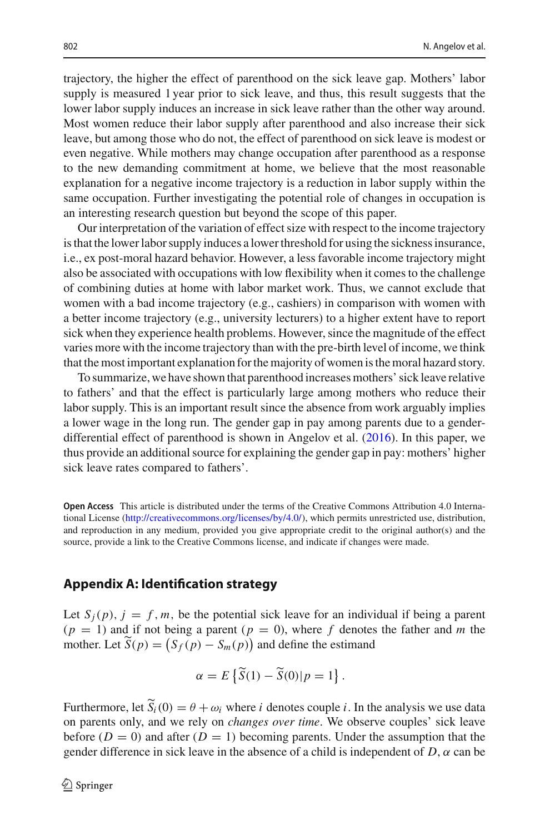trajectory, the higher the effect of parenthood on the sick leave gap. Mothers' labor supply is measured 1 year prior to sick leave, and thus, this result suggests that the lower labor supply induces an increase in sick leave rather than the other way around. Most women reduce their labor supply after parenthood and also increase their sick leave, but among those who do not, the effect of parenthood on sick leave is modest or even negative. While mothers may change occupation after parenthood as a response to the new demanding commitment at home, we believe that the most reasonable explanation for a negative income trajectory is a reduction in labor supply within the same occupation. Further investigating the potential role of changes in occupation is an interesting research question but beyond the scope of this paper.

Our interpretation of the variation of effect size with respect to the income trajectory is that the lower labor supply induces a lower threshold for using the sickness insurance, i.e., ex post-moral hazard behavior. However, a less favorable income trajectory might also be associated with occupations with low flexibility when it comes to the challenge of combining duties at home with labor market work. Thus, we cannot exclude that women with a bad income trajectory (e.g., cashiers) in comparison with women with a better income trajectory (e.g., university lecturers) to a higher extent have to report sick when they experience health problems. However, since the magnitude of the effect varies more with the income trajectory than with the pre-birth level of income, we think that the most important explanation for the majority of women is the moral hazard story.

To summarize, we have shown that parenthood increases mothers' sick leave relative to fathers' and that the effect is particularly large among mothers who reduce their labor supply. This is an important result since the absence from work arguably implies a lower wage in the long run. The gender gap in pay among parents due to a genderdifferential effect of parenthood is shown in Angelov et al[.](#page-36-1) [\(2016\)](#page-36-1). In this paper, we thus provide an additional source for explaining the gender gap in pay: mothers' higher sick leave rates compared to fathers'.

**Open Access** This article is distributed under the terms of the Creative Commons Attribution 4.0 International License [\(http://creativecommons.org/licenses/by/4.0/\)](http://creativecommons.org/licenses/by/4.0/), which permits unrestricted use, distribution, and reproduction in any medium, provided you give appropriate credit to the original author(s) and the source, provide a link to the Creative Commons license, and indicate if changes were made.

# **Appendix A: Identification strategy**

Let  $S_j(p)$ ,  $j = f, m$ , be the potential sick leave for an individual if being a parent  $(p = 1)$  and if not being a parent  $(p = 0)$ , where *f* denotes the father and *m* the **Appendix A: Identification strategy**<br>
Let  $S_j(p)$ ,  $j = f$ ,  $m$ , be the potential sick leave for an indivi<br>  $(p = 1)$  and if not being a parent  $(p = 0)$ , where  $f$  denotes<br>
mother. Let  $\widetilde{S}(p) = (S_f(p) - S_m(p))$  and define the est the potential sick<br>
a parent  $(p = 0)$ <br>  $(0) - S_m(p)$  and d<br>  $\alpha = E \{ \tilde{S}(1) - \tilde{S} \}$ 

$$
\alpha = E\left\{ \widetilde{S}(1) - \widetilde{S}(0) | p = 1 \right\}.
$$

Furthermore, let  $\widetilde{S}_i(0) = \theta + \omega_i$  where *i* denotes couple *i*. In the analysis we use data on parents only, and we rely on *changes over time*. We observe couples' sick leave before  $(D = 0)$  and after  $(D = 1)$  becoming parents. Under the assumption that the gender difference in sick leave in the absence of a child is independent of *D*, α can be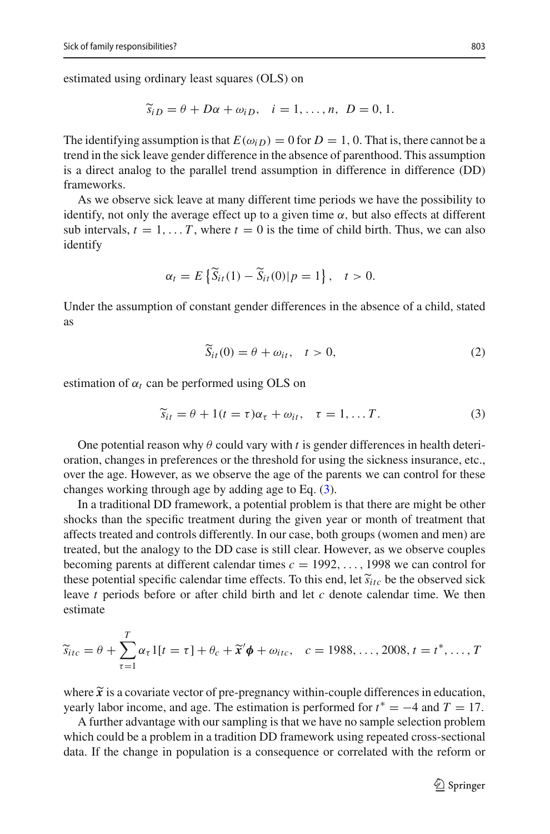-

estimated using ordinary least squares (OLS) on

$$
\widetilde{s}_{iD} = \theta + D\alpha + \omega_{iD}, \quad i = 1, \dots, n, \ D = 0, 1.
$$

The identifying assumption is that  $E(\omega_i p) = 0$  for  $D = 1, 0$ . That is, there cannot be a trend in the sick leave gender difference in the absence of parenthood. This assumption is a direct analog to the parallel trend assumption in difference in difference (DD) frameworks.

As we observe sick leave at many different time periods we have the possibility to identify, not only the average effect up to a given time  $\alpha$ , but also effects at different sub intervals,  $t = 1, \ldots T$ , where  $t = 0$  is the time of child birth. Thus, we can also identify *t* average effect up to<br>  $\ldots$  *T*, where  $t = 0$ <br>  $\alpha_t = E\left\{\widetilde{S}_{it}(1) - \widetilde{S}_t\right\}$ 

$$
\alpha_t = E\left\{\widetilde{S}_{it}(1) - \widetilde{S}_{it}(0)|p=1\right\}, \quad t > 0.
$$

Under the assumption of constant gender differences in the absence of a child, stated as

<span id="page-26-1"></span>
$$
\tilde{S}_{it}(0) = \theta + \omega_{it}, \quad t > 0,
$$
\n<sup>(2)</sup>

estimation of  $\alpha_t$  can be performed using OLS on

<span id="page-26-0"></span>
$$
\widetilde{s}_{it} = \theta + 1(t = \tau)\alpha_{\tau} + \omega_{it}, \quad \tau = 1, \dots T. \tag{3}
$$

One potential reason why  $\theta$  could vary with *t* is gender differences in health deterioration, changes in preferences or the threshold for using the sickness insurance, etc., over the age. However, as we observe the age of the parents we can control for these changes working through age by adding age to Eq. [\(3\)](#page-26-0).

In a traditional DD framework, a potential problem is that there are might be other shocks than the specific treatment during the given year or month of treatment that affects treated and controls differently. In our case, both groups (women and men) are treated, but the analogy to the DD case is still clear. However, as we observe couples becoming parents at different calendar times  $c = 1992, \ldots, 1998$  we can control for affects treated and controls differently. In our case, both groups (women and men) are treated, but the analogy to the DD case is still clear. However, as we observe couples becoming parents at different calendar times  $c$ leave *t* periods before or after child birth and let *c* denote calendar time. We then estimate leave *t* period:<br>
estimate<br>  $\widetilde{s}_{itc} = \theta + \sum_{i}^{T}$ 

$$
\tilde{s}_{itc} = \theta + \sum_{\tau=1}^{T} \alpha_{\tau} 1[t = \tau] + \theta_c + \tilde{x}' \phi + \omega_{itc}, \quad c = 1988, \dots, 2008, t = t^*, \dots, T
$$
\nwhere  $\tilde{x}$  is a covariate vector of pre-pregnancy within-couple differences in education,

yearly labor income, and age. The estimation is performed for  $t^* = -4$  and  $T = 17$ .

A further advantage with our sampling is that we have no sample selection problem which could be a problem in a tradition DD framework using repeated cross-sectional data. If the change in population is a consequence or correlated with the reform or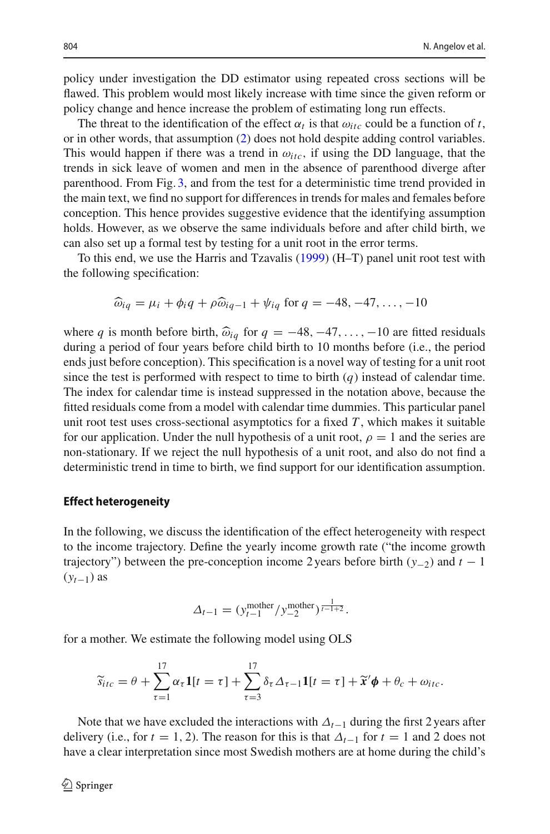policy under investigation the DD estimator using repeated cross sections will be flawed. This problem would most likely increase with time since the given reform or policy change and hence increase the problem of estimating long run effects.

The threat to the identification of the effect  $\alpha_t$  is that  $\omega_{itc}$  could be a function of *t*, or in other words, that assumption [\(2\)](#page-26-1) does not hold despite adding control variables. This would happen if there was a trend in  $\omega_{itc}$ , if using the DD language, that the trends in sick leave of women and men in the absence of parenthood diverge after parenthood. From Fig. [3,](#page-12-1) and from the test for a deterministic time trend provided in the main text, we find no support for differences in trends for males and females before conception. This hence provides suggestive evidence that the identifying assumption holds. However, as we observe the same individuals before and after child birth, we can also set up a formal test by testing for a unit root in the error terms.

To thi[s](#page-36-25) end, we use the Harris and Tzavalis [\(1999\)](#page-36-25) (H–T) panel unit root test with following specification:<br>  $\widehat{\omega}_{iq} = \mu_i + \phi_i q + \rho \widehat{\omega}_{iq-1} + \psi_{iq}$  for  $q = -48, -47, \dots, -10$ the following specification:

$$
\widehat{\omega}_{iq} = \mu_i + \phi_i q + \rho \widehat{\omega}_{iq-1} + \psi_{iq} \text{ for } q = -48, -47, \dots, -10
$$

where *q* is month before birth,  $\hat{\omega}_{iq}$  for  $q = -48, -47, \ldots, -10$  are fitted residuals during a period of four years before child birth to 10 months before (i.e., the period ends just before conception). This specification is a novel way of testing for a unit root since the test is performed with respect to time to birth (*q*) instead of calendar time. The index for calendar time is instead suppressed in the notation above, because the fitted residuals come from a model with calendar time dummies. This particular panel unit root test uses cross-sectional asymptotics for a fixed *T* , which makes it suitable for our application. Under the null hypothesis of a unit root,  $\rho = 1$  and the series are non-stationary. If we reject the null hypothesis of a unit root, and also do not find a deterministic trend in time to birth, we find support for our identification assumption.

#### **Effect heterogeneity**

In the following, we discuss the identification of the effect heterogeneity with respect to the income trajectory. Define the yearly income growth rate ("the income growth trajectory") between the pre-conception income 2 years before birth (*y*−2) and *t* − 1 (*yt*−1) as

$$
\Delta_{t-1} = (y_{t-1}^{\text{mother}}/y_{-2}^{\text{mother}})^{\frac{1}{t-1+2}}.
$$

for a mother. We estimate the following model using OLS

nother. We estimate the following model using OLS  
\n
$$
\widetilde{s}_{itc} = \theta + \sum_{\tau=1}^{17} \alpha_{\tau} \mathbf{1}[t = \tau] + \sum_{\tau=3}^{17} \delta_{\tau} \Delta_{\tau-1} \mathbf{1}[t = \tau] + \widetilde{\mathbf{x}}' \boldsymbol{\phi} + \theta_c + \omega_{itc}.
$$

Note that we have excluded the interactions with  $\Delta_{t-1}$  during the first 2 years after delivery (i.e., for  $t = 1, 2$ ). The reason for this is that  $\Delta_{t-1}$  for  $t = 1$  and 2 does not have a clear interpretation since most Swedish mothers are at home during the child's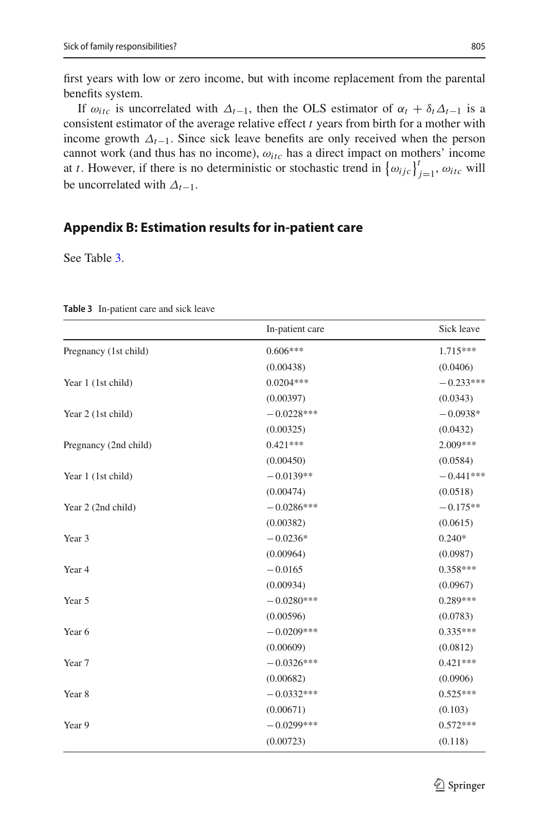first years with low or zero income, but with income replacement from the parental benefits system.

If  $\omega_{itc}$  is uncorrelated with  $\Delta_{t-1}$ , then the OLS estimator of  $\alpha_t + \delta_t \Delta_{t-1}$  is a consistent estimator of the average relative effect *t* years from birth for a mother with income growth  $\Delta_{t-1}$ . Since sick leave benefits are only received when the person cannot work (and thus has no income),  $\omega_{itc}$  has a direct impact on mothers' income If  $\omega_{itc}$  is uncorrelated with  $\Delta_{t-1}$ , then the OLS estimator of  $\alpha_t + \delta_t \Delta_{t-1}$  is a consistent estimator of the average relative effect *t* years from birth for a mother with income growth  $\Delta_{t-1}$ . Since sick le be uncorrelated with  $\Delta_{t-1}$ .

### **Appendix B: Estimation results for in-patient care**

See Table [3.](#page-28-0)

|                       | In-patient care | Sick leave  |
|-----------------------|-----------------|-------------|
| Pregnancy (1st child) | $0.606***$      | $1.715***$  |
|                       | (0.00438)       | (0.0406)    |
| Year 1 (1st child)    | $0.0204***$     | $-0.233***$ |
|                       | (0.00397)       | (0.0343)    |
| Year 2 (1st child)    | $-0.0228***$    | $-0.0938*$  |
|                       | (0.00325)       | (0.0432)    |
| Pregnancy (2nd child) | $0.421***$      | $2.009***$  |
|                       | (0.00450)       | (0.0584)    |
| Year 1 (1st child)    | $-0.0139**$     | $-0.441***$ |
|                       | (0.00474)       | (0.0518)    |
| Year 2 (2nd child)    | $-0.0286***$    | $-0.175**$  |
|                       | (0.00382)       | (0.0615)    |
| Year 3                | $-0.0236*$      | $0.240*$    |
|                       | (0.00964)       | (0.0987)    |
| Year 4                | $-0.0165$       | $0.358***$  |
|                       | (0.00934)       | (0.0967)    |
| Year 5                | $-0.0280***$    | $0.289***$  |
|                       | (0.00596)       | (0.0783)    |
| Year 6                | $-0.0209***$    | $0.335***$  |
|                       | (0.00609)       | (0.0812)    |
| Year 7                | $-0.0326***$    | $0.421***$  |
|                       | (0.00682)       | (0.0906)    |
| Year 8                | $-0.0332***$    | $0.525***$  |
|                       | (0.00671)       | (0.103)     |
| Year 9                | $-0.0299***$    | $0.572***$  |
|                       | (0.00723)       | (0.118)     |

<span id="page-28-0"></span>**Table 3** In-patient care and sick leave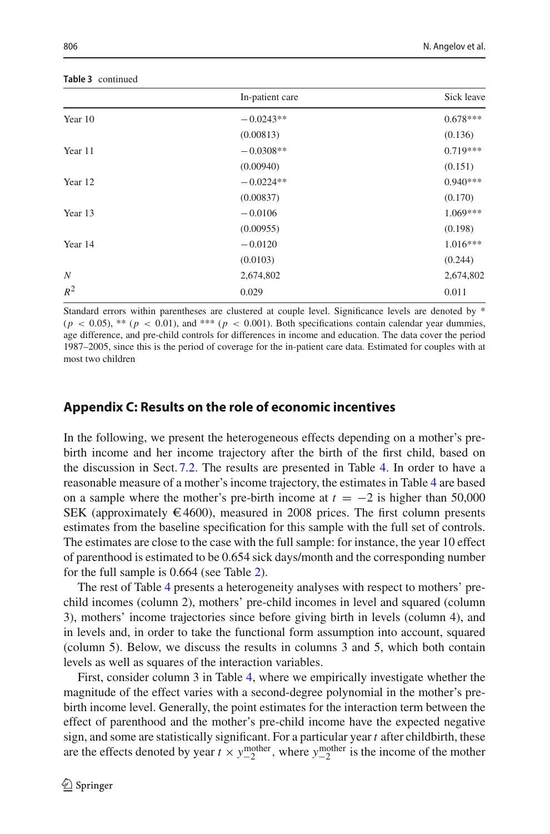|                  | In-patient care | Sick leave |
|------------------|-----------------|------------|
| Year 10          | $-0.0243**$     | $0.678***$ |
|                  | (0.00813)       | (0.136)    |
| Year 11          | $-0.0308**$     | $0.719***$ |
|                  | (0.00940)       | (0.151)    |
| Year 12          | $-0.0224**$     | $0.940***$ |
|                  | (0.00837)       | (0.170)    |
| Year 13          | $-0.0106$       | $1.069***$ |
|                  | (0.00955)       | (0.198)    |
| Year 14          | $-0.0120$       | $1.016***$ |
|                  | (0.0103)        | (0.244)    |
| $\boldsymbol{N}$ | 2,674,802       | 2,674,802  |
| $R^2$            | 0.029           | 0.011      |

**Table 3** continued

Standard errors within parentheses are clustered at couple level. Significance levels are denoted by \*  $(p < 0.05)$ , \*\*  $(p < 0.01)$ , and \*\*\*  $(p < 0.001)$ . Both specifications contain calendar year dummies, age difference, and pre-child controls for differences in income and education. The data cover the period 1987–2005, since this is the period of coverage for the in-patient care data. Estimated for couples with at most two children

# **Appendix C: Results on the role of economic incentives**

In the following, we present the heterogeneous effects depending on a mother's prebirth income and her income trajectory after the birth of the first child, based on the discussion in Sect. [7.2.](#page-20-1) The results are presented in Table [4.](#page-31-0) In order to have a reasonable measure of a mother's income trajectory, the estimates in Table [4](#page-31-0) are based on a sample where the mother's pre-birth income at  $t = -2$  is higher than 50,000 SEK (approximately  $\epsilon$ 4600), measured in 2008 prices. The first column presents estimates from the baseline specification for this sample with the full set of controls. The estimates are close to the case with the full sample: for instance, the year 10 effect of parenthood is estimated to be 0.654 sick days/month and the corresponding number for the full sample is 0.664 (see Table [2\)](#page-15-0).

The rest of Table [4](#page-31-0) presents a heterogeneity analyses with respect to mothers' prechild incomes (column 2), mothers' pre-child incomes in level and squared (column 3), mothers' income trajectories since before giving birth in levels (column 4), and in levels and, in order to take the functional form assumption into account, squared (column 5). Below, we discuss the results in columns 3 and 5, which both contain levels as well as squares of the interaction variables.

First, consider column 3 in Table [4,](#page-31-0) where we empirically investigate whether the magnitude of the effect varies with a second-degree polynomial in the mother's prebirth income level. Generally, the point estimates for the interaction term between the effect of parenthood and the mother's pre-child income have the expected negative sign, and some are statistically significant. For a particular year *t* after childbirth, these are the effects denoted by year  $t \times y_{-2}^{\text{mother}}$ , where  $y_{-2}^{\text{mother}}$  is the income of the mother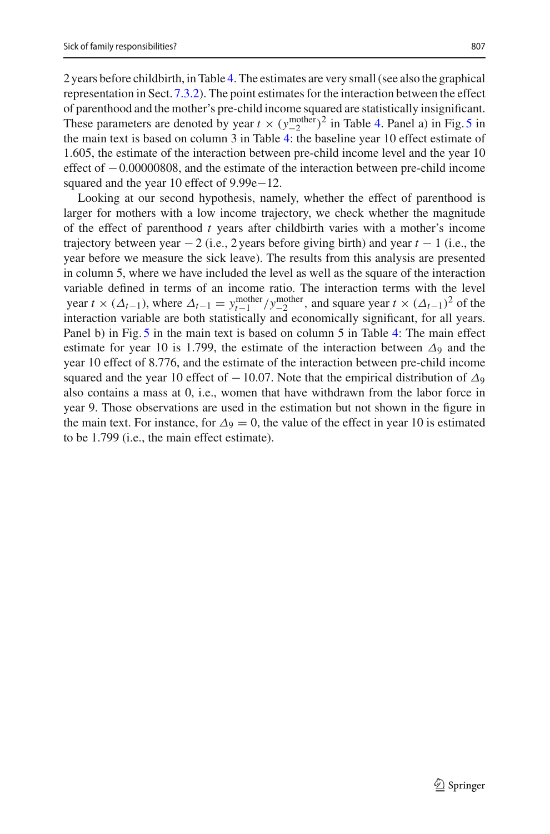2 years before childbirth, in Table [4.](#page-31-0) The estimates are very small (see also the graphical representation in Sect. [7.3.2\)](#page-22-1). The point estimates for the interaction between the effect of parenthood and the mother's pre-child income squared are statistically insignificant. These parameters are denoted by year  $t \times (y_{-2}^{\text{mother}})^2$  in Table [4.](#page-31-0) Panel a) in Fig. [5](#page-24-0) in the main text is based on column 3 in Table [4:](#page-31-0) the baseline year 10 effect estimate of 1.605, the estimate of the interaction between pre-child income level and the year 10

squared and the year 10 effect of 9.99e−12. Looking at our second hypothesis, namely, whether the effect of parenthood is larger for mothers with a low income trajectory, we check whether the magnitude of the effect of parenthood *t* years after childbirth varies with a mother's income trajectory between year  $-2$  (i.e., 2 years before giving birth) and year  $t - 1$  (i.e., the year before we measure the sick leave). The results from this analysis are presented in column 5, where we have included the level as well as the square of the interaction variable defined in terms of an income ratio. The interaction terms with the level year  $t \times (\Delta_{t-1})$ , where  $\Delta_{t-1} = y_{t-1}^{\text{mother}}/y_{-2}^{\text{mother}}$ , and square year  $t \times (\Delta_{t-1})^2$  of the interaction variable are both statistically and economically significant, for all years. Panel b) in Fig. [5](#page-24-0) in the main text is based on column 5 in Table [4:](#page-31-0) The main effect estimate for year 10 is 1.799, the estimate of the interaction between  $\Delta$ 9 and the year 10 effect of 8.776, and the estimate of the interaction between pre-child income squared and the year 10 effect of  $-10.07$ . Note that the empirical distribution of  $\Delta_9$ also contains a mass at 0, i.e., women that have withdrawn from the labor force in year 9. Those observations are used in the estimation but not shown in the figure in the main text. For instance, for  $\Delta \rho = 0$ , the value of the effect in year 10 is estimated to be 1.799 (i.e., the main effect estimate).

effect of −0.00000808, and the estimate of the interaction between pre-child income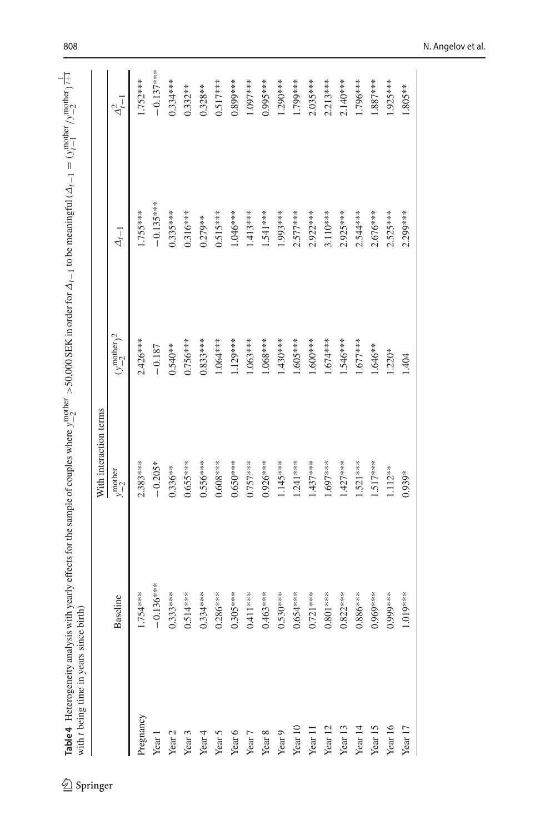| ١<br>I<br>í<br>$\ddot{ }$<br>١<br>Į.                                                                                                                                                                                                                       |                                                                                                                                                                           |
|------------------------------------------------------------------------------------------------------------------------------------------------------------------------------------------------------------------------------------------------------------|---------------------------------------------------------------------------------------------------------------------------------------------------------------------------|
| ٤<br>$\mathbf{I}$<br>l<br>I<br>l<br>١<br>ı<br>I<br>l<br>۲<br>i<br>I<br>î<br>ś<br>í                                                                                                                                                                         |                                                                                                                                                                           |
| <b>Second</b><br>;<br>;<br>١<br>$\mathbf{r}$<br>i<br>I<br>ś<br>j<br>ï<br>١<br>i<br>I<br>j<br>ĵ<br>֕<br>$\overline{\phantom{a}}$<br>۱<br>ţ<br>ì<br>i<br><b>VS1S</b><br>l<br>I<br>I<br>$\overline{\phantom{a}}$<br>ׇ֚֚֘֝֝<br>Ì<br>Ï<br>١<br>)<br>)<br>į<br>ı | ì<br>i<br>j<br>Ĭ<br>ŗ<br>ׇׇ֚֘֕֡<br>ļ<br>j<br>j<br>$\ddot{\phantom{a}}$<br>ł<br>į<br>-<br>-<br>-<br>-<br>-<br>-<br>-<br>-<br>-<br><br>-<br><br>-<br><br><br><br><br>ļ<br>j |
| ì                                                                                                                                                                                                                                                          | 1<br>j                                                                                                                                                                    |

<span id="page-31-0"></span> $\underline{\textcircled{\tiny 2}}$  Springer

| with t being time in years since | <b>Table 4</b> Heterogeneity analysis with yearly effects for the sample of couples where $y_{-2}^{\text{molyher}} > 50,000$ SEK in order for $\Delta_{I-1}$ to be meaningful $(\Delta_{I-1} = (y_{i-1}^{\text{modyher}})/y_{-2}^{\text{molyher}})$ $\frac{1}{t+1}$<br>birth) |                          |                           |                |             |
|----------------------------------|-------------------------------------------------------------------------------------------------------------------------------------------------------------------------------------------------------------------------------------------------------------------------------|--------------------------|---------------------------|----------------|-------------|
|                                  |                                                                                                                                                                                                                                                                               | With interaction terms   |                           |                |             |
|                                  | Baseline                                                                                                                                                                                                                                                                      | $y_{-2}^{\text{mother}}$ | $(y_{-2}^{\rm mother})^2$ | $\Delta_{t-1}$ | $A_{t-1}^2$ |
| Pregnancy                        | 1.754 ***                                                                                                                                                                                                                                                                     | $2.383***$               | $2.426***$                | 1.755 ***      | 1.752***    |
| Year 1                           | $-0.136***$                                                                                                                                                                                                                                                                   | $-0.205*$                | $-0.187$                  | $-0.135***$    | $-0.137***$ |
| Year <sub>2</sub>                | $0.333***$                                                                                                                                                                                                                                                                    | $0.336***$               | $0.540**$                 | $0.335***$     | $0.334***$  |
| Year <sub>3</sub>                | $0.514***$                                                                                                                                                                                                                                                                    | $0.655***$               | $0.756***$                | $0.316***$     | $0.332**$   |
| Year 4                           | $0.334***$                                                                                                                                                                                                                                                                    | $0.556***$               | $0.833***$                | $0.279***$     | $0.328**$   |
| Year 5                           | $0.286***$                                                                                                                                                                                                                                                                    | $0.608***$               | $1.064***$                | $0.515***$     | $0.517***$  |
| Year 6                           | $0.305***$                                                                                                                                                                                                                                                                    | $0.650***$               | 129***                    | $1.046***$     | $0.899***$  |
| Year 7                           | $0.411***$                                                                                                                                                                                                                                                                    | $0.757***$               | $1.063***$                | $413***$       | 1.097***    |
| Year 8                           | $0.463***$                                                                                                                                                                                                                                                                    | $0.926***$               | $1.068***$                | $1.541***$     | $0.995***$  |
| Year 9                           | $0.530***$                                                                                                                                                                                                                                                                    | 1.145***                 | 1.430***                  | 1.993 ***      | $1.290***$  |
| Year 10                          | $0.654***$                                                                                                                                                                                                                                                                    | $1.241***$               | $1.605***$                | $2.577***$     | 1.799***    |
| Year 11                          | $0.721***$                                                                                                                                                                                                                                                                    | $1.437***$               | $1.600***$                | $2.922***$     | $2.035***$  |
| Year $12$                        | $0.801***$                                                                                                                                                                                                                                                                    | 1.697***                 | $1.674***$                | 3.110***       | $2.213***$  |
| Year 13                          | $0.822***$                                                                                                                                                                                                                                                                    | $1.427***$               | 1.546***                  | $2.925***$     | 2.140***    |
| Year $14$                        | $0.886***$                                                                                                                                                                                                                                                                    | $1.521***$               | $1.677***$                | $2.544***$     | 1.796***    |
| Year 15                          | $0.969***$                                                                                                                                                                                                                                                                    | $1.517***$               | $1.646**$                 | $2.676***$     | $.887***$   |
| Year 16                          | $0.999***$                                                                                                                                                                                                                                                                    | $1.112**$                | $1.220*$                  | $2.525***$     | 1.925 ***   |
| Year 17                          | 1.019***                                                                                                                                                                                                                                                                      | $0.939*$                 | 1.404                     | 2.299***       | 1.805**     |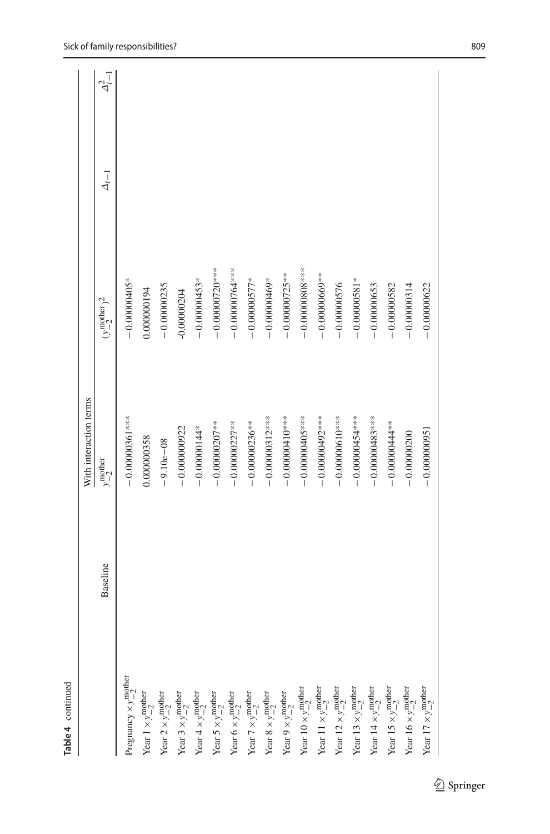| Table 4 continued                                                                                                                                                                                                                                                                                                                                                                                                 |          | With interaction terms |                           |                   |                  |
|-------------------------------------------------------------------------------------------------------------------------------------------------------------------------------------------------------------------------------------------------------------------------------------------------------------------------------------------------------------------------------------------------------------------|----------|------------------------|---------------------------|-------------------|------------------|
|                                                                                                                                                                                                                                                                                                                                                                                                                   | Baseline | $y_{-2}^{\rm mother}$  | $(y_{-2}^{\rm mother})^2$ | $\varDelta_{t-1}$ | $\Delta_{t-1}^2$ |
| Pregnancy $\times y_{-2}^{\text{mother}}$                                                                                                                                                                                                                                                                                                                                                                         |          | $-0.00000361***$       | $-0.00000405*$            |                   |                  |
|                                                                                                                                                                                                                                                                                                                                                                                                                   |          | 0.000000358            | 0.000000194               |                   |                  |
|                                                                                                                                                                                                                                                                                                                                                                                                                   |          | $-9.10e - 08$          | $-0.00000235$             |                   |                  |
| $\begin{array}{l} \begin{subarray}{l} \text{Year 1}\times\text{y}_{1}^\text{mother}\\ \text{Year 2}\times\text{y}_{2}^\text{mother}\\ \text{Year 3}\times\text{y}_{3}^\text{mother}\\ \text{Year 4}\times\text{y}_{3}^\text{mother}\\ \text{Year 5}\times\text{y}_{3}^\text{mother}\\ \text{Year 6}\times\text{y}_{2}^\text{mother}\\ \text{Year 6}\times\text{y}_{3}^\text{mother}\\ \end{subarray} \end{array}$ |          | $-0.000000922$         | $-0.00000204$             |                   |                  |
|                                                                                                                                                                                                                                                                                                                                                                                                                   |          | $-0.00000144*$         | $-0.00000453*$            |                   |                  |
|                                                                                                                                                                                                                                                                                                                                                                                                                   |          | $-0.00000007$ **       | $-0.00000720***$          |                   |                  |
|                                                                                                                                                                                                                                                                                                                                                                                                                   |          | $-0.00000227***$       | $-0.00000764***$          |                   |                  |
|                                                                                                                                                                                                                                                                                                                                                                                                                   |          | $-0.00000236***$       | $-0.00000577*$            |                   |                  |
|                                                                                                                                                                                                                                                                                                                                                                                                                   |          | $-0.00000312***$       | $-0.00000469*$            |                   |                  |
| Year 8 $\times$ y <sup>mother</sup><br>Year 9 $\times$ y <sup>mother</sup><br>Year 10 $\times$ y <sup>mother</sup>                                                                                                                                                                                                                                                                                                |          | $-0.00000410***$       | $-0.000000725***$         |                   |                  |
|                                                                                                                                                                                                                                                                                                                                                                                                                   |          | $-0.00000005***$       | $-0.000000808***$         |                   |                  |
| Year 11 $\times y^{\rm mother}_{-2}$                                                                                                                                                                                                                                                                                                                                                                              |          | $-0.000000492***$      | $-0.00000669**$           |                   |                  |
| Year 12 $\times$ y <sup>mother</sup>                                                                                                                                                                                                                                                                                                                                                                              |          | $-0.00000610***$       | $-0.00000576$             |                   |                  |
|                                                                                                                                                                                                                                                                                                                                                                                                                   |          | $-0.0000000$           | $-0.000000581*$           |                   |                  |
| Year 13 $\times$ y <sup>mother</sup><br>Year 14 $\times$ y <sup>mother</sup><br>Year 15 $\times$ y <sup>mother</sup>                                                                                                                                                                                                                                                                                              |          | $-0.000000483***$      | $-0.00000653$             |                   |                  |
|                                                                                                                                                                                                                                                                                                                                                                                                                   |          | $-0.00000444**$        | $-0.00000582$             |                   |                  |
| Year 16 $\times y_{-2}^{\text{mother}}$                                                                                                                                                                                                                                                                                                                                                                           |          | $-0.00000200$          | $-0.00000314$             |                   |                  |
| Year 17 $\times$ y <sup>mother</sup>                                                                                                                                                                                                                                                                                                                                                                              |          | $-0.000000951$         | $-0.00000622$             |                   |                  |
|                                                                                                                                                                                                                                                                                                                                                                                                                   |          |                        |                           |                   |                  |

Table 4 continued

 $\mathcal{D}$  Springer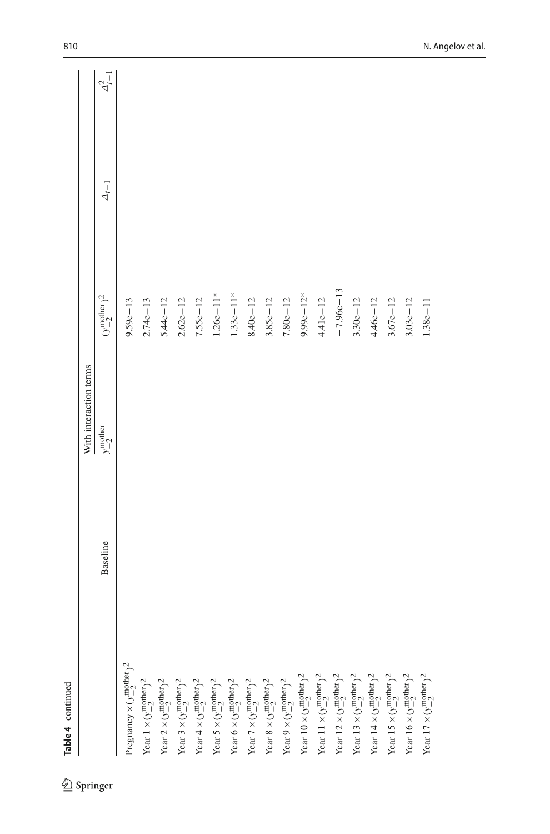| Table 4 continued                                    |          |                        |                           |                   |                  |
|------------------------------------------------------|----------|------------------------|---------------------------|-------------------|------------------|
|                                                      |          | With interaction terms |                           |                   |                  |
|                                                      | Baseline | $y_{-2}^{\rm mother}$  | $(y_{-2}^{\rm mother})^2$ | $\varDelta_{t-1}$ | $\Delta_{t-1}^2$ |
| Pregnancy $\times (y_{-2}^{\rm mother})^2$           |          |                        | $9.59e - 13$              |                   |                  |
| Year $1 \times (y_{-2}^{\rm mother})^2$              |          |                        | $2.74e - 13$              |                   |                  |
| Year $2 \times (y_{-2}^{\text{mother}})^2$           |          |                        | $5.44e - 12$              |                   |                  |
| Year $3 \times (y_{-2}^{\text{mother}})^2$           |          |                        | $2.62e - 12$              |                   |                  |
| Year $4 \times (y_{-2}^{\text{mother}})^2$           |          |                        | $7.55e - 12$              |                   |                  |
| Year $5 \times (y_{-2}^{\text{mother}})^2$           |          |                        | $1.26e - 11*$             |                   |                  |
| Year $6 \times (y_{-2}^{\text{mother}})^2$           |          |                        | $1.33e - 11*$             |                   |                  |
| Year $7 \times (y_{-2}^{\text{mother}})^2$           |          |                        | $8.40e - 12$              |                   |                  |
| Year $8 \times (y_{-2}^{\rm mother})^2$              |          |                        | $3.85e - 12$              |                   |                  |
| Year $9 \times (y_{-2}^{\rm mother})^2$              |          |                        | $7.80e - 12$              |                   |                  |
| Year 10 $\times$ (y <sup>mother</sup> ) <sup>2</sup> |          |                        | $9.99e - 12*$             |                   |                  |
| Year 11 $\times$ (y <sup>mother</sup> ) <sup>2</sup> |          |                        | $4.41e - 12$              |                   |                  |
| Year 12 $\times$ (ymother $)^2$                      |          |                        | $-7.96e-13$               |                   |                  |
| Year 13 $\times$ (ymother $)^2$                      |          |                        | $3.30e - 12$              |                   |                  |
| Year 14 $\times$ (y-mother) <sup>2</sup>             |          |                        | $4.46e - 12$              |                   |                  |
| Year 15 $\times$ (y <sup>mother</sup> ) <sup>2</sup> |          |                        | $3.67e - 12$              |                   |                  |
| Year 16 $\times$ (y <sup>mother</sup> ) <sup>2</sup> |          |                        | $3.03e - 12$              |                   |                  |
| Year 17 $\times$ (ymother $)^2$                      |          |                        | $1.38e - 11$              |                   |                  |
|                                                      |          |                        |                           |                   |                  |

Table 4 continued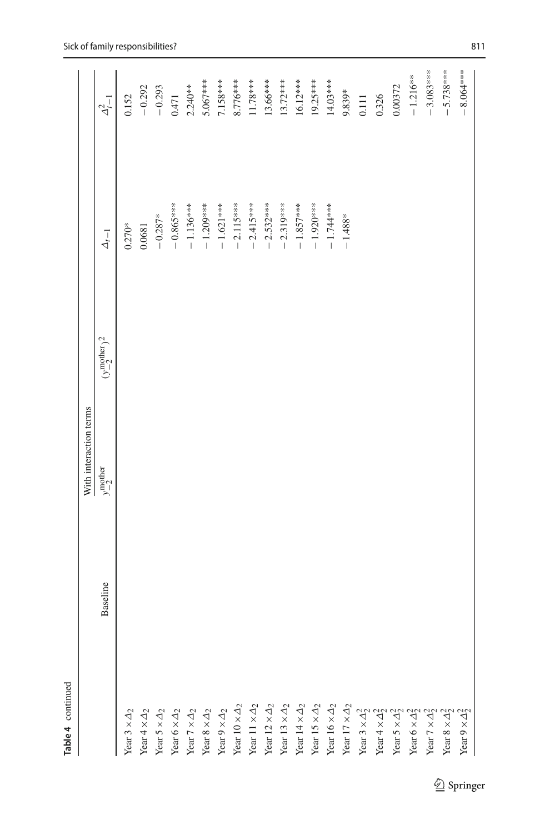| ⋷ |
|---|
|   |
|   |
|   |

| Table 4 continued                                        |          |                        |                           |                |             |
|----------------------------------------------------------|----------|------------------------|---------------------------|----------------|-------------|
|                                                          |          | With interaction terms |                           |                |             |
|                                                          | Baseline | $y_{-2}^{\rm mother}$  | $(y_{-2}^{\rm mother})^2$ | $\Delta_{t-1}$ | $A_{t-1}^2$ |
| Year $3\times\varDelta_2$                                |          |                        |                           | $0.270*$       | 0.152       |
| Year $4\times\varDelta_2$                                |          |                        |                           | 0.0681         | $-0.292$    |
| Year $5\times\varDelta_2$                                |          |                        |                           | $-0.287*$      | $-0.293$    |
| Year $6\times\varDelta_2$                                |          |                        |                           | $-0.865***$    | 0.471       |
| Year $7\times\varDelta_2$                                |          |                        |                           | $-1.136***$    | $2.240**$   |
| Year $8\times\varDelta_2$                                |          |                        |                           | $-1.209***$    | $5.067***$  |
| Year $9\times\varDelta_2$                                |          |                        |                           | $-1.621***$    | 7.158****   |
| Year 10 $\times\varDelta_2$                              |          |                        |                           | $-2.115***$    | $8.776***$  |
| Year 11 $\times\varDelta_2$                              |          |                        |                           | $-2.415***$    | $11.78***$  |
| Year 12 $\times\varDelta_2$                              |          |                        |                           | $-2.532***$    | 13.66***    |
| Year 13 $\times\varDelta_2$                              |          |                        |                           | $-2.319***$    | $13.72***$  |
| Year $14\times\!\Delta_2$                                |          |                        |                           | $-1.857***$    | $16.12***$  |
| Year 15 $\times\varDelta_2$                              |          |                        |                           | $-1.920$ **    | 19.25***    |
| Year 16 $\times \varDelta_2$                             |          |                        |                           | $-1.744**$     | $14.03***$  |
| Year 17 $\times\varDelta_2$                              |          |                        |                           | $-1.488*$      | 9.839*      |
|                                                          |          |                        |                           |                | $0.111$     |
| Year $3 \times \Delta_2^2$<br>Year $4 \times \Delta_2^2$ |          |                        |                           |                | 0.326       |
| Year $5 \times \Delta_2^2$<br>Year $6 \times \Delta_2^2$ |          |                        |                           |                | 0.00372     |
|                                                          |          |                        |                           |                | $-1.216**$  |
| Year $7 \times \Delta_2^2$                               |          |                        |                           |                | $-3.083***$ |
| Year $8 \times \Delta_2^2$                               |          |                        |                           |                | $-5.738***$ |
| Year $9\times\varDelta_2^2$                              |          |                        |                           |                | $-8.061$ ** |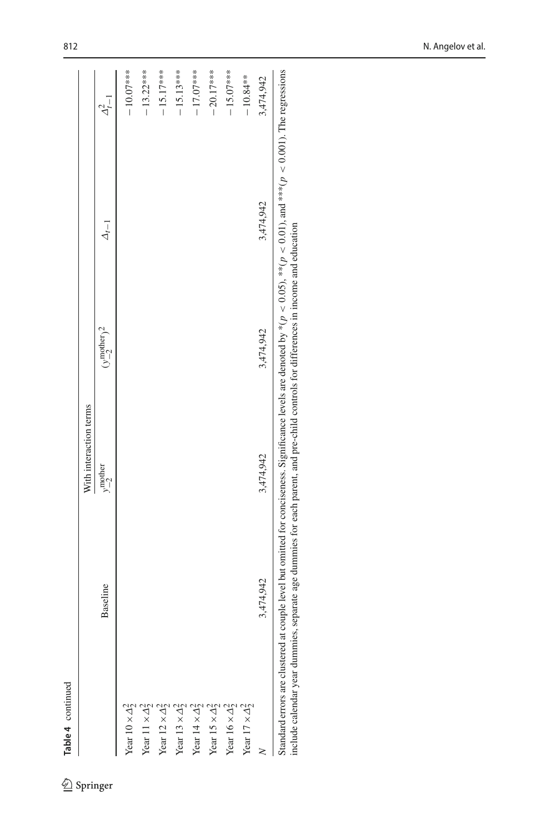| $\vdots$ |  |
|----------|--|
| ₹        |  |
|          |  |
|          |  |

 $\underline{\textcircled{\tiny 2}}$  Springer

|                               |           | With interaction terms   |                              |                |                  |
|-------------------------------|-----------|--------------------------|------------------------------|----------------|------------------|
|                               | Baseline  | $y_{-2}^{\text{modher}}$ | $(y_{-2}^{\text{mother}})^2$ | $\overline{c}$ | $\Delta_{t-1}^2$ |
| Year 10 $\times\Delta_7^2$    |           |                          |                              |                | $-10.07***$      |
| Year 11 $\times\varDelta_2^2$ |           |                          |                              |                | $-13.22***$      |
| Year 12 $\times \Delta_2^2$   |           |                          |                              |                | $-15.17***$      |
| Year 13 $\times \Delta_2^2$   |           |                          |                              |                | $-15.13***$      |
| Year 14 $\times \Delta_2^2$   |           |                          |                              |                | $-17.07***$      |
| Year 15 $\times \Delta_2^2$   |           |                          |                              |                | $-20.17***$      |
| Year 16 $\times \Delta_2^2$   |           |                          |                              |                | $-15.07***$      |
| Year 17 $\times\Delta_2^2$    |           |                          |                              |                | $-10.84**$       |
|                               | 3,474,942 | 3,474,942                | 3,474,942                    | 3,474,942      | 3,474,942        |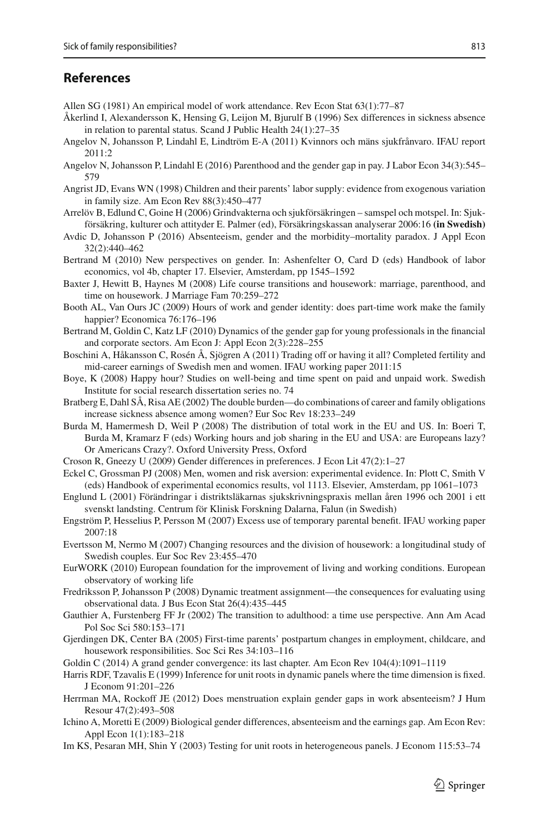# **References**

- <span id="page-36-27"></span>Allen SG (1981) An empirical model of work attendance. Rev Econ Stat 63(1):77–87
- <span id="page-36-10"></span>Åkerlind I, Alexandersson K, Hensing G, Leijon M, Bjurulf B (1996) Sex differences in sickness absence in relation to parental status. Scand J Public Health 24(1):27–35
- <span id="page-36-12"></span>Angelov N, Johansson P, Lindahl E, Lindtröm E-A (2011) Kvinnors och mäns sjukfrånvaro. IFAU report 2011:2
- <span id="page-36-1"></span>Angelov N, Johansson P, Lindahl E (2016) Parenthood and the gender gap in pay. J Labor Econ 34(3):545– 579
- <span id="page-36-20"></span>Angrist JD, Evans WN (1998) Children and their parents' labor supply: evidence from exogenous variation in family size. Am Econ Rev 88(3):450–477
- <span id="page-36-21"></span>Arrelöv B, Edlund C, Goine H (2006) Grindvakterna och sjukförsäkringen – samspel och motspel. In: Sjukförsäkring, kulturer och attityder E. Palmer (ed), Försäkringskassan analyserar 2006:16 **(in Swedish)**
- <span id="page-36-4"></span>Avdic D, Johansson P (2016) Absenteeism, gender and the morbidity–mortality paradox. J Appl Econ 32(2):440–462
- <span id="page-36-9"></span>Bertrand M (2010) New perspectives on gender. In: Ashenfelter O, Card D (eds) Handbook of labor economics, vol 4b, chapter 17. Elsevier, Amsterdam, pp 1545–1592
- <span id="page-36-19"></span>Baxter J, Hewitt B, Haynes M (2008) Life course transitions and housework: marriage, parenthood, and time on housework. J Marriage Fam 70:259–272
- <span id="page-36-14"></span>Booth AL, Van Ours JC (2009) Hours of work and gender identity: does part-time work make the family happier? Economica 76:176–196
- <span id="page-36-3"></span>Bertrand M, Goldin C, Katz LF (2010) Dynamics of the gender gap for young professionals in the financial and corporate sectors. Am Econ J: Appl Econ 2(3):228–255
- <span id="page-36-28"></span>Boschini A, Håkansson C, Rosén Å, Sjögren A (2011) Trading off or having it all? Completed fertility and mid-career earnings of Swedish men and women. IFAU working paper 2011:15
- <span id="page-36-13"></span>Boye, K (2008) Happy hour? Studies on well-being and time spent on paid and unpaid work. Swedish Institute for social research dissertation series no. 74
- <span id="page-36-11"></span>Bratberg E, Dahl SÅ, Risa AE (2002) The double burden—do combinations of career and family obligations increase sickness absence among women? Eur Soc Rev 18:233–249
- <span id="page-36-16"></span>Burda M, Hamermesh D, Weil P (2008) The distribution of total work in the EU and US. In: Boeri T, Burda M, Kramarz F (eds) Working hours and job sharing in the EU and USA: are Europeans lazy? Or Americans Crazy?. Oxford University Press, Oxford
- <span id="page-36-8"></span>Croson R, Gneezy U (2009) Gender differences in preferences. J Econ Lit 47(2):1–27
- <span id="page-36-7"></span>Eckel C, Grossman PJ (2008) Men, women and risk aversion: experimental evidence. In: Plott C, Smith V (eds) Handbook of experimental economics results, vol 1113. Elsevier, Amsterdam, pp 1061–1073
- <span id="page-36-22"></span>Englund L (2001) Förändringar i distriktsläkarnas sjukskrivningspraxis mellan åren 1996 och 2001 i ett svenskt landsting. Centrum för Klinisk Forskning Dalarna, Falun (in Swedish)
- <span id="page-36-23"></span>Engström P, Hesselius P, Persson M (2007) Excess use of temporary parental benefit. IFAU working paper 2007:18
- <span id="page-36-15"></span>Evertsson M, Nermo M (2007) Changing resources and the division of housework: a longitudinal study of Swedish couples. Eur Soc Rev 23:455–470
- <span id="page-36-0"></span>EurWORK (2010) European foundation for the improvement of living and working conditions. European observatory of working life
- <span id="page-36-24"></span>Fredriksson P, Johansson P (2008) Dynamic treatment assignment—the consequences for evaluating using observational data. J Bus Econ Stat 26(4):435–445
- <span id="page-36-17"></span>Gauthier A, Furstenberg FF Jr (2002) The transition to adulthood: a time use perspective. Ann Am Acad Pol Soc Sci 580:153–171
- <span id="page-36-18"></span>Gjerdingen DK, Center BA (2005) First-time parents' postpartum changes in employment, childcare, and housework responsibilities. Soc Sci Res 34:103–116
- <span id="page-36-2"></span>Goldin C (2014) A grand gender convergence: its last chapter. Am Econ Rev 104(4):1091–1119
- <span id="page-36-25"></span>Harris RDF, Tzavalis E (1999) Inference for unit roots in dynamic panels where the time dimension is fixed. J Econom 91:201–226
- <span id="page-36-6"></span>Herrman MA, Rockoff JE (2012) Does menstruation explain gender gaps in work absenteeism? J Hum Resour 47(2):493–508
- <span id="page-36-5"></span>Ichino A, Moretti E (2009) Biological gender differences, absenteeism and the earnings gap. Am Econ Rev: Appl Econ 1(1):183–218
- <span id="page-36-26"></span>Im KS, Pesaran MH, Shin Y (2003) Testing for unit roots in heterogeneous panels. J Econom 115:53–74